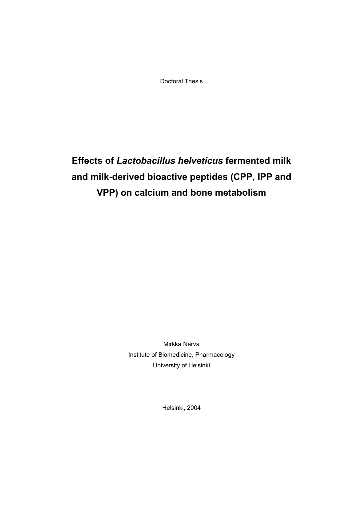Doctoral Thesis

# **Effects of** *Lactobacillus helveticus* **fermented milk and milk-derived bioactive peptides (CPP, IPP and VPP) on calcium and bone metabolism**

Mirkka Narva Institute of Biomedicine, Pharmacology University of Helsinki

Helsinki, 2004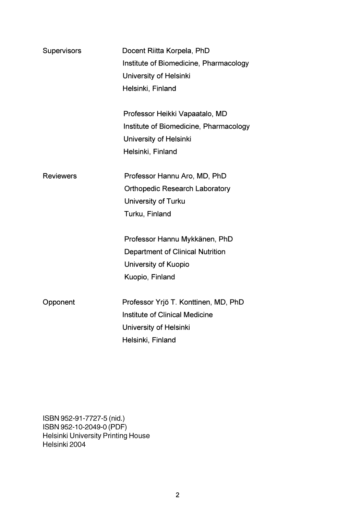| Supervisors      | Docent Riitta Korpela, PhD             |
|------------------|----------------------------------------|
|                  | Institute of Biomedicine, Pharmacology |
|                  | University of Helsinki                 |
|                  | Helsinki, Finland                      |
|                  |                                        |
|                  | Professor Heikki Vapaatalo, MD         |
|                  | Institute of Biomedicine, Pharmacology |
|                  | University of Helsinki                 |
|                  | Helsinki, Finland                      |
| <b>Reviewers</b> | Professor Hannu Aro, MD, PhD           |
|                  | <b>Orthopedic Research Laboratory</b>  |
|                  | University of Turku                    |
|                  | Turku, Finland                         |
|                  |                                        |
|                  | Professor Hannu Mykkänen, PhD          |
|                  | Department of Clinical Nutrition       |
|                  | University of Kuopio                   |
|                  | Kuopio, Finland                        |
| Opponent         | Professor Yrjö T. Konttinen, MD, PhD   |
|                  | Institute of Clinical Medicine         |
|                  |                                        |
|                  | University of Helsinki                 |
|                  | Helsinki, Finland                      |

ISBN 952-91-7727-5 (nid.)<br>ISBN 952-10-2049-0 (PDF)<br>Helsinki University Printing House<br>Helsinki 2004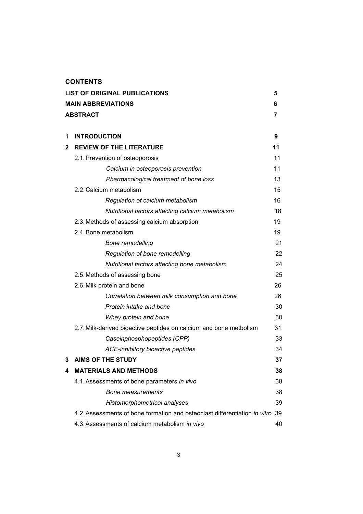## **CONTENTS**

|   | <b>LIST OF ORIGINAL PUBLICATIONS</b>                                          | 5  |
|---|-------------------------------------------------------------------------------|----|
|   | <b>MAIN ABBREVIATIONS</b>                                                     | 6  |
|   | ABSTRACT                                                                      | 7  |
|   |                                                                               |    |
| 1 | <b>INTRODUCTION</b>                                                           | 9  |
| 2 | <b>REVIEW OF THE LITERATURE</b>                                               | 11 |
|   | 2.1. Prevention of osteoporosis                                               | 11 |
|   | Calcium in osteoporosis prevention                                            | 11 |
|   | Pharmacological treatment of bone loss                                        | 13 |
|   | 2.2. Calcium metabolism                                                       | 15 |
|   | Regulation of calcium metabolism                                              | 16 |
|   | Nutritional factors affecting calcium metabolism                              | 18 |
|   | 2.3. Methods of assessing calcium absorption                                  | 19 |
|   | 2.4. Bone metabolism                                                          | 19 |
|   | <b>Bone remodelling</b>                                                       | 21 |
|   | Regulation of bone remodelling                                                | 22 |
|   | Nutritional factors affecting bone metabolism                                 | 24 |
|   | 2.5. Methods of assessing bone                                                | 25 |
|   | 2.6. Milk protein and bone                                                    | 26 |
|   | Correlation between milk consumption and bone                                 | 26 |
|   | Protein intake and bone                                                       | 30 |
|   | Whey protein and bone                                                         | 30 |
|   | 2.7. Milk-derived bioactive peptides on calcium and bone metbolism            | 31 |
|   | Caseinphosphopeptides (CPP)                                                   | 33 |
|   | ACE-inhibitory bioactive peptides                                             | 34 |
| 3 | <b>AIMS OF THE STUDY</b>                                                      | 37 |
| 4 | <b>MATERIALS AND METHODS</b>                                                  | 38 |
|   | 4.1. Assessments of bone parameters in vivo                                   | 38 |
|   | <b>Bone measurements</b>                                                      | 38 |
|   | Histomorphometrical analyses                                                  | 39 |
|   | 4.2. Assessments of bone formation and osteoclast differentiation in vitro 39 |    |
|   | 4.3. Assessments of calcium metabolism in vivo                                | 40 |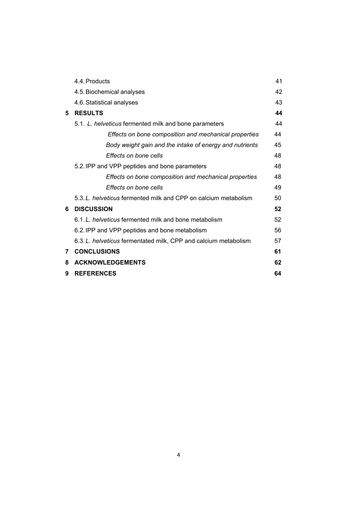|   | 4.4. Products                                                   | 41 |
|---|-----------------------------------------------------------------|----|
|   | 4.5. Biochemical analyses                                       | 42 |
|   | 4.6. Statistical analyses                                       | 43 |
| 5 | <b>RESULTS</b>                                                  | 44 |
|   | 5.1. L. helveticus fermented milk and bone parameters           | 44 |
|   | Effects on bone composition and mechanical properties           | 44 |
|   | Body weight gain and the intake of energy and nutrients         | 45 |
|   | Effects on bone cells                                           | 48 |
|   | 5.2. IPP and VPP peptides and bone parameters                   | 48 |
|   | Effects on bone composition and mechanical properties           | 48 |
|   | Effects on bone cells                                           | 49 |
|   | 5.3. L. helveticus fermented milk and CPP on calcium metabolism | 50 |
| 6 | <b>DISCUSSION</b>                                               | 52 |
|   | 6.1. L. helveticus fermented milk and bone metabolism           | 52 |
|   | 6.2. IPP and VPP peptides and bone metabolism                   | 56 |
|   | 6.3. L. helveticus fermentated milk, CPP and calcium metabolism | 57 |
| 7 | <b>CONCLUSIONS</b>                                              | 61 |
| 8 | <b>ACKNOWLEDGEMENTS</b>                                         | 62 |
| 9 | <b>REFERENCES</b>                                               | 64 |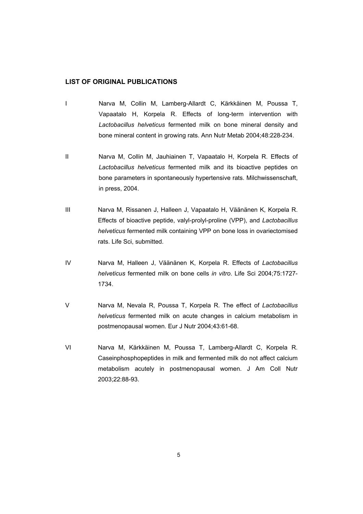## **LIST OF ORIGINAL PUBLICATIONS**

- I Narva M, Collin M, Lamberg-Allardt C, Kärkkäinen M, Poussa T, Vapaatalo H, Korpela R. Effects of long-term intervention with *Lactobacillus helveticus* fermented milk on bone mineral density and bone mineral content in growing rats. Ann Nutr Metab 2004;48:228-234.
- II Narva M, Collin M, Jauhiainen T, Vapaatalo H, Korpela R. Effects of *Lactobacillus helveticus* fermented milk and its bioactive peptides on bone parameters in spontaneously hypertensive rats. Milchwissenschaft, in press, 2004.
- III Narva M, Rissanen J, Halleen J, Vapaatalo H, Väänänen K, Korpela R. Effects of bioactive peptide, valyl-prolyl-proline (VPP), and *Lactobacillus helveticus* fermented milk containing VPP on bone loss in ovariectomised rats. Life Sci, submitted.
- IV Narva M, Halleen J, Väänänen K, Korpela R. Effects of *Lactobacillus helveticus* fermented milk on bone cells *in vitro*. Life Sci 2004;75:1727- 1734.
- V Narva M, Nevala R, Poussa T, Korpela R. The effect of *Lactobacillus helveticus* fermented milk on acute changes in calcium metabolism in postmenopausal women. Eur J Nutr 2004;43:61-68.
- VI Narva M, Kärkkäinen M, Poussa T, Lamberg-Allardt C, Korpela R. Caseinphosphopeptides in milk and fermented milk do not affect calcium metabolism acutely in postmenopausal women. J Am Coll Nutr 2003;22:88-93.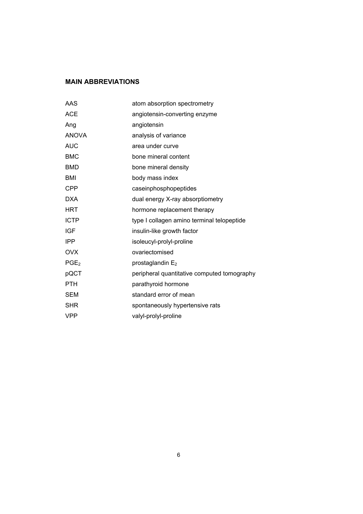# **MAIN ABBREVIATIONS**

| AAS              | atom absorption spectrometry                |
|------------------|---------------------------------------------|
| <b>ACE</b>       | angiotensin-converting enzyme               |
| Ang              | angiotensin                                 |
| <b>ANOVA</b>     | analysis of variance                        |
| <b>AUC</b>       | area under curve                            |
| <b>BMC</b>       | bone mineral content                        |
| <b>BMD</b>       | bone mineral density                        |
| <b>BMI</b>       | body mass index                             |
| <b>CPP</b>       | caseinphosphopeptides                       |
| <b>DXA</b>       | dual energy X-ray absorptiometry            |
| <b>HRT</b>       | hormone replacement therapy                 |
| <b>ICTP</b>      | type I collagen amino terminal telopeptide  |
| <b>IGF</b>       | insulin-like growth factor                  |
| <b>IPP</b>       | isoleucyl-prolyl-proline                    |
| <b>OVX</b>       | ovariectomised                              |
| PGE <sub>2</sub> | prostaglandin E <sub>2</sub>                |
| pQCT             | peripheral quantitative computed tomography |
| <b>PTH</b>       | parathyroid hormone                         |
| <b>SEM</b>       | standard error of mean                      |
| <b>SHR</b>       | spontaneously hypertensive rats             |
| <b>VPP</b>       | valyl-prolyl-proline                        |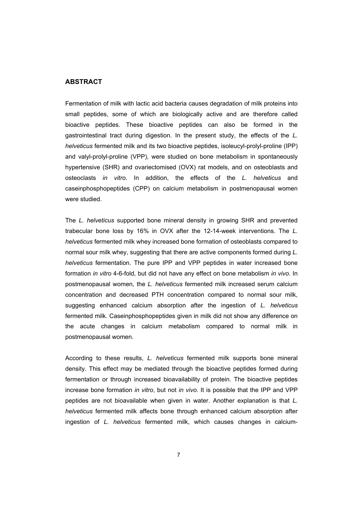## **ABSTRACT**

Fermentation of milk with lactic acid bacteria causes degradation of milk proteins into small peptides, some of which are biologically active and are therefore called bioactive peptides. These bioactive peptides can also be formed in the gastrointestinal tract during digestion. In the present study, the effects of the *L. helveticus* fermented milk and its two bioactive peptides, isoleucyl-prolyl-proline (IPP) and valyl-prolyl-proline (VPP), were studied on bone metabolism in spontaneously hypertensive (SHR) and ovariectomised (OVX) rat models, and on osteoblasts and osteoclasts *in vitro*. In addition, the effects of the *L. helveticus* and caseinphosphopeptides (CPP) on calcium metabolism in postmenopausal women were studied.

The *L. helveticus* supported bone mineral density in growing SHR and prevented trabecular bone loss by 16% in OVX after the 12-14-week interventions. The *L. helveticus* fermented milk whey increased bone formation of osteoblasts compared to normal sour milk whey, suggesting that there are active components formed during *L. helveticus* fermentation. The pure IPP and VPP peptides in water increased bone formation *in vitro* 4-6-fold, but did not have any effect on bone metabolism *in vivo*. In postmenopausal women, the *L. helveticus* fermented milk increased serum calcium concentration and decreased PTH concentration compared to normal sour milk, suggesting enhanced calcium absorption after the ingestion of *L. helveticus*  fermented milk. Caseinphosphopeptides given in milk did not show any difference on the acute changes in calcium metabolism compared to normal milk in postmenopausal women.

According to these results, *L. helveticus* fermented milk supports bone mineral density. This effect may be mediated through the bioactive peptides formed during fermentation or through increased bioavailability of protein. The bioactive peptides increase bone formation *in vitro*, but not *in vivo*. It is possible that the IPP and VPP peptides are not bioavailable when given in water. Another explanation is that *L. helveticus* fermented milk affects bone through enhanced calcium absorption after ingestion of *L. helveticus* fermented milk, which causes changes in calcium-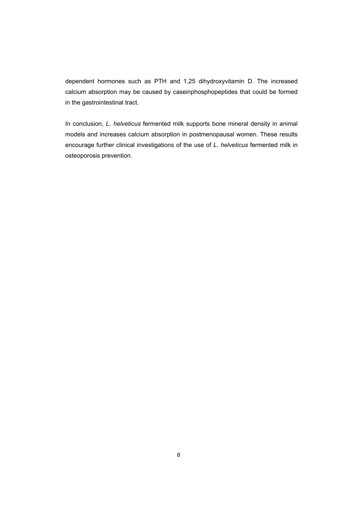dependent hormones such as PTH and 1,25 dihydroxyvitamin D. The increased calcium absorption may be caused by caseinphosphopeptides that could be formed in the gastrointestinal tract.

In conclusion, *L. helveticus* fermented milk supports bone mineral density in animal models and increases calcium absorption in postmenopausal women. These results encourage further clinical investigations of the use of *L. helveticus* fermented milk in osteoporosis prevention.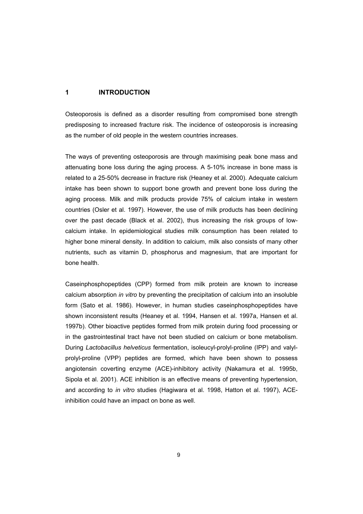## **1 INTRODUCTION**

Osteoporosis is defined as a disorder resulting from compromised bone strength predisposing to increased fracture risk. The incidence of osteoporosis is increasing as the number of old people in the western countries increases.

The ways of preventing osteoporosis are through maximising peak bone mass and attenuating bone loss during the aging process. A 5-10% increase in bone mass is related to a 25-50% decrease in fracture risk (Heaney et al. 2000). Adequate calcium intake has been shown to support bone growth and prevent bone loss during the aging process. Milk and milk products provide 75% of calcium intake in western countries (Osler et al. 1997). However, the use of milk products has been declining over the past decade (Black et al. 2002), thus increasing the risk groups of lowcalcium intake. In epidemiological studies milk consumption has been related to higher bone mineral density. In addition to calcium, milk also consists of many other nutrients, such as vitamin D, phosphorus and magnesium, that are important for bone health.

Caseinphosphopeptides (CPP) formed from milk protein are known to increase calcium absorption *in vitro* by preventing the precipitation of calcium into an insoluble form (Sato et al. 1986). However, in human studies caseinphosphopeptides have shown inconsistent results (Heaney et al. 1994, Hansen et al. 1997a, Hansen et al. 1997b). Other bioactive peptides formed from milk protein during food processing or in the gastrointestinal tract have not been studied on calcium or bone metabolism. During *Lactobacillus helveticus* fermentation, isoleucyl-prolyl-proline (IPP) and valylprolyl-proline (VPP) peptides are formed, which have been shown to possess angiotensin coverting enzyme (ACE)-inhibitory activity (Nakamura et al. 1995b, Sipola et al. 2001). ACE inhibition is an effective means of preventing hypertension, and according to *in vitro* studies (Hagiwara et al. 1998, Hatton et al. 1997), ACEinhibition could have an impact on bone as well.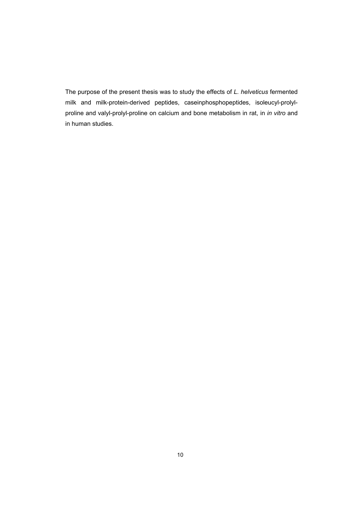The purpose of the present thesis was to study the effects of *L. helveticus* fermented milk and milk-protein-derived peptides, caseinphosphopeptides, isoleucyl-prolylproline and valyl-prolyl-proline on calcium and bone metabolism in rat, in *in vitro* and in human studies.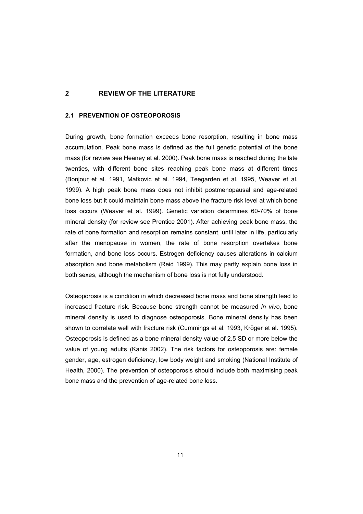## **2 REVIEW OF THE LITERATURE**

## **2.1 PREVENTION OF OSTEOPOROSIS**

During growth, bone formation exceeds bone resorption, resulting in bone mass accumulation. Peak bone mass is defined as the full genetic potential of the bone mass (for review see Heaney et al. 2000). Peak bone mass is reached during the late twenties, with different bone sites reaching peak bone mass at different times (Bonjour et al. 1991, Matkovic et al. 1994, Teegarden et al. 1995, Weaver et al. 1999). A high peak bone mass does not inhibit postmenopausal and age-related bone loss but it could maintain bone mass above the fracture risk level at which bone loss occurs (Weaver et al. 1999). Genetic variation determines 60-70% of bone mineral density (for review see Prentice 2001). After achieving peak bone mass, the rate of bone formation and resorption remains constant, until later in life, particularly after the menopause in women, the rate of bone resorption overtakes bone formation, and bone loss occurs. Estrogen deficiency causes alterations in calcium absorption and bone metabolism (Reid 1999). This may partly explain bone loss in both sexes, although the mechanism of bone loss is not fully understood.

Osteoporosis is a condition in which decreased bone mass and bone strength lead to increased fracture risk. Because bone strength cannot be measured *in vivo*, bone mineral density is used to diagnose osteoporosis. Bone mineral density has been shown to correlate well with fracture risk (Cummings et al. 1993, Kröger et al. 1995). Osteoporosis is defined as a bone mineral density value of 2.5 SD or more below the value of young adults (Kanis 2002). The risk factors for osteoporosis are: female gender, age, estrogen deficiency, low body weight and smoking (National Institute of Health, 2000). The prevention of osteoporosis should include both maximising peak bone mass and the prevention of age-related bone loss.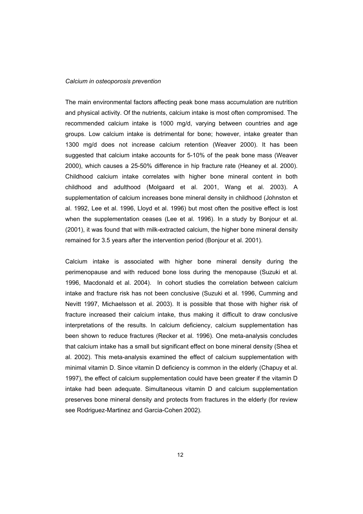#### *Calcium in osteoporosis prevention*

The main environmental factors affecting peak bone mass accumulation are nutrition and physical activity. Of the nutrients, calcium intake is most often compromised. The recommended calcium intake is 1000 mg/d, varying between countries and age groups. Low calcium intake is detrimental for bone; however, intake greater than 1300 mg/d does not increase calcium retention (Weaver 2000). It has been suggested that calcium intake accounts for 5-10% of the peak bone mass (Weaver 2000), which causes a 25-50% difference in hip fracture rate (Heaney et al. 2000). Childhood calcium intake correlates with higher bone mineral content in both childhood and adulthood (Molgaard et al. 2001, Wang et al. 2003). A supplementation of calcium increases bone mineral density in childhood (Johnston et al. 1992, Lee et al. 1996, Lloyd et al. 1996) but most often the positive effect is lost when the supplementation ceases (Lee et al. 1996). In a study by Bonjour et al. (2001), it was found that with milk-extracted calcium, the higher bone mineral density remained for 3.5 years after the intervention period (Bonjour et al. 2001).

Calcium intake is associated with higher bone mineral density during the perimenopause and with reduced bone loss during the menopause (Suzuki et al. 1996, Macdonald et al. 2004). In cohort studies the correlation between calcium intake and fracture risk has not been conclusive (Suzuki et al. 1996, Cumming and Nevitt 1997, Michaelsson et al. 2003). It is possible that those with higher risk of fracture increased their calcium intake, thus making it difficult to draw conclusive interpretations of the results. In calcium deficiency, calcium supplementation has been shown to reduce fractures (Recker et al. 1996). One meta-analysis concludes that calcium intake has a small but significant effect on bone mineral density (Shea et al. 2002). This meta-analysis examined the effect of calcium supplementation with minimal vitamin D. Since vitamin D deficiency is common in the elderly (Chapuy et al. 1997), the effect of calcium supplementation could have been greater if the vitamin D intake had been adequate. Simultaneous vitamin D and calcium supplementation preserves bone mineral density and protects from fractures in the elderly (for review see Rodriguez-Martinez and Garcia-Cohen 2002).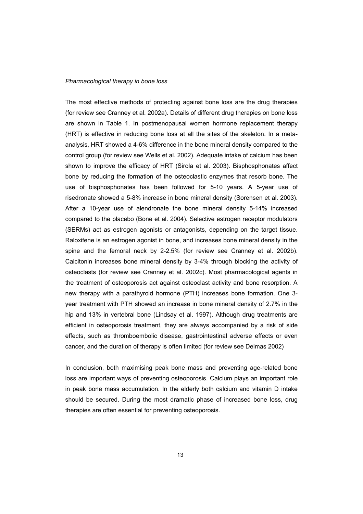#### *Pharmacological therapy in bone loss*

The most effective methods of protecting against bone loss are the drug therapies (for review see Cranney et al. 2002a). Details of different drug therapies on bone loss are shown in Table 1. In postmenopausal women hormone replacement therapy (HRT) is effective in reducing bone loss at all the sites of the skeleton. In a metaanalysis, HRT showed a 4-6% difference in the bone mineral density compared to the control group (for review see Wells et al. 2002). Adequate intake of calcium has been shown to improve the efficacy of HRT (Sirola et al. 2003). Bisphosphonates affect bone by reducing the formation of the osteoclastic enzymes that resorb bone. The use of bisphosphonates has been followed for 5-10 years. A 5-year use of risedronate showed a 5-8% increase in bone mineral density (Sorensen et al. 2003). After a 10-year use of alendronate the bone mineral density 5-14% increased compared to the placebo (Bone et al. 2004). Selective estrogen receptor modulators (SERMs) act as estrogen agonists or antagonists, depending on the target tissue. Raloxifene is an estrogen agonist in bone, and increases bone mineral density in the spine and the femoral neck by 2-2.5% (for review see Cranney et al. 2002b). Calcitonin increases bone mineral density by 3-4% through blocking the activity of osteoclasts (for review see Cranney et al. 2002c). Most pharmacological agents in the treatment of osteoporosis act against osteoclast activity and bone resorption. A new therapy with a parathyroid hormone (PTH) increases bone formation. One 3 year treatment with PTH showed an increase in bone mineral density of 2.7% in the hip and 13% in vertebral bone (Lindsay et al. 1997). Although drug treatments are efficient in osteoporosis treatment, they are always accompanied by a risk of side effects, such as thromboembolic disease, gastrointestinal adverse effects or even cancer, and the duration of therapy is often limited (for review see Delmas 2002)

In conclusion, both maximising peak bone mass and preventing age-related bone loss are important ways of preventing osteoporosis. Calcium plays an important role in peak bone mass accumulation. In the elderly both calcium and vitamin D intake should be secured. During the most dramatic phase of increased bone loss, drug therapies are often essential for preventing osteoporosis.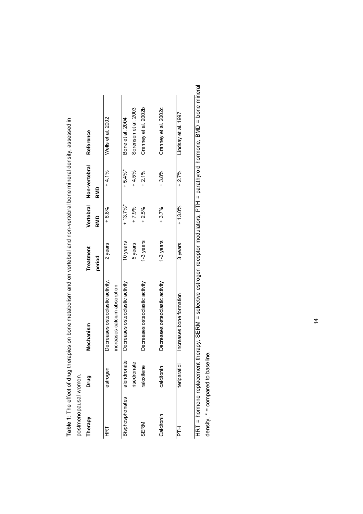| postmenopausal women.  |                                      |                                  |           |           |                         |                      |
|------------------------|--------------------------------------|----------------------------------|-----------|-----------|-------------------------|----------------------|
| Therapy                | Drug                                 | Mechanism                        | Treatment |           | Vertebral Non-vertebral | Reference            |
|                        |                                      |                                  | period    | BMD       | BMD                     |                      |
| <b>HRT</b>             | estroger                             | Decreases osteoclastic activity, | 2 years   | $+6.8%$   | $+4.1%$                 | Wells et al. 2002    |
|                        |                                      | increases calcium absorption     |           |           |                         |                      |
| <b>Bisphosphonates</b> | nate<br>alendror                     | Decreases osteoclastic activity  | 10 years  | $+13.7\%$ | $+5.4\%$                | Bone et al. 2004     |
|                        | risedronate                          |                                  | 5 years   | $+7.9%$   | $+4.5%$                 | Sorensen et al. 2003 |
| SERM                   | $\overline{\mathsf{P}}$<br>raloxifen | Decreases osteoclastic activity  | 1-3 years | $+2.5%$   | $+2.1\%$                | Cranney et al. 2002b |
|                        |                                      |                                  |           |           |                         |                      |
| Calcitonin             | calcitoni                            | Decreases osteoclastic activity  | 1-3 years | $+3.7%$   | $+3.8%$                 | Cranney et al. 2002c |
|                        |                                      |                                  |           |           |                         |                      |
| Ë                      | teriparatidi                         | Increases bone formation         | 3 years   | $+13.0\%$ | $+2.7%$                 | Lindsay et al. 1997  |
|                        |                                      |                                  |           |           |                         |                      |

Table 1: The effect of drug therapies on bone metabolism and on vertebral and non-vertebral bone mineral density, assessed in **Table 1**: The effect of drug therapies on bone metabolism and on vertebral and non-vertebral bone mineral density, assessed in HRT = hormone replacement therapy, SERM = selective estrogen receptor modulators, PTH = parathyroid hormone, BMD = bone mineral HRT = hormone replacement therapy, SERM = selective estrogen receptor modulators, PTH = parathyroid hormone, BMD = bone mineral density, \* = compared to baseline. density,  $* =$  compared to baseline.

 $\overline{4}$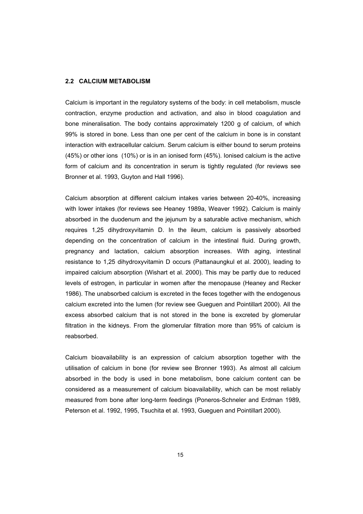## **2.2 CALCIUM METABOLISM**

Calcium is important in the regulatory systems of the body: in cell metabolism, muscle contraction, enzyme production and activation, and also in blood coagulation and bone mineralisation. The body contains approximately 1200 g of calcium, of which 99% is stored in bone. Less than one per cent of the calcium in bone is in constant interaction with extracellular calcium. Serum calcium is either bound to serum proteins (45%) or other ions (10%) or is in an ionised form (45%). Ionised calcium is the active form of calcium and its concentration in serum is tightly regulated (for reviews see Bronner et al. 1993, Guyton and Hall 1996).

Calcium absorption at different calcium intakes varies between 20-40%, increasing with lower intakes (for reviews see Heaney 1989a, Weaver 1992). Calcium is mainly absorbed in the duodenum and the jejunum by a saturable active mechanism, which requires 1,25 dihydroxyvitamin D. In the ileum, calcium is passively absorbed depending on the concentration of calcium in the intestinal fluid. During growth, pregnancy and lactation, calcium absorption increases. With aging, intestinal resistance to 1,25 dihydroxyvitamin D occurs (Pattanaungkul et al. 2000), leading to impaired calcium absorption (Wishart et al. 2000). This may be partly due to reduced levels of estrogen, in particular in women after the menopause (Heaney and Recker 1986). The unabsorbed calcium is excreted in the feces together with the endogenous calcium excreted into the lumen (for review see Gueguen and Pointillart 2000). All the excess absorbed calcium that is not stored in the bone is excreted by glomerular filtration in the kidneys. From the glomerular filtration more than 95% of calcium is reabsorbed.

Calcium bioavailability is an expression of calcium absorption together with the utilisation of calcium in bone (for review see Bronner 1993). As almost all calcium absorbed in the body is used in bone metabolism, bone calcium content can be considered as a measurement of calcium bioavailability, which can be most reliably measured from bone after long-term feedings (Poneros-Schneler and Erdman 1989, Peterson et al. 1992, 1995, Tsuchita et al. 1993, Gueguen and Pointillart 2000).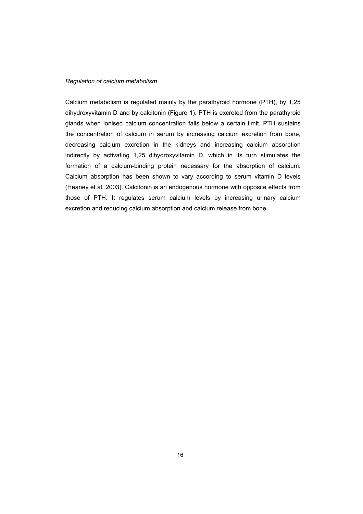## *Regulation of calcium metabolism*

Calcium metabolism is regulated mainly by the parathyroid hormone (PTH), by 1,25 dihydroxyvitamin D and by calcitonin (Figure 1). PTH is excreted from the parathyroid glands when ionised calcium concentration falls below a certain limit. PTH sustains the concentration of calcium in serum by increasing calcium excretion from bone, decreasing calcium excretion in the kidneys and increasing calcium absorption indirectly by activating 1,25 dihydroxyvitamin D, which in its turn stimulates the formation of a calcium-binding protein necessary for the absorption of calcium. Calcium absorption has been shown to vary according to serum vitamin D levels (Heaney et al. 2003). Calcitonin is an endogenous hormone with opposite effects from those of PTH. It regulates serum calcium levels by increasing urinary calcium excretion and reducing calcium absorption and calcium release from bone.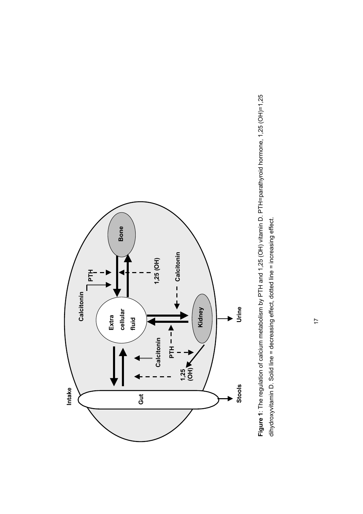

Figure 1: The regulation of calcium metabolism by PTH and 1,25 (OH) vitamin D. PTH=parathyroid hormone, 1,25 (OH)=1,25 **Figure 1**: The regulation of calcium metabolism by PTH and 1,25 (OH) vitamin D. PTH=parathyroid hormone, 1,25 (OH)=1,25 dihydroxyvitamin D. Solid line = decreasing effect, dotted line = increasing effect. dihydroxyvitamin D. Solid line = decreasing effect, dotted line = increasing effect.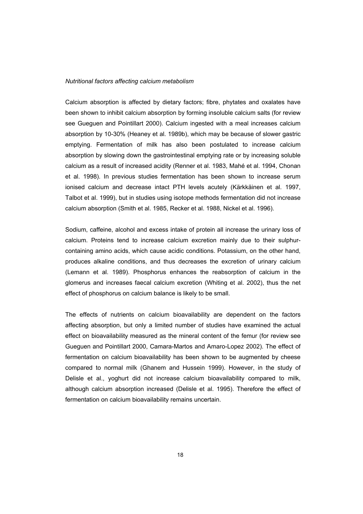## *Nutritional factors affecting calcium metabolism*

Calcium absorption is affected by dietary factors; fibre, phytates and oxalates have been shown to inhibit calcium absorption by forming insoluble calcium salts (for review see Gueguen and Pointillart 2000). Calcium ingested with a meal increases calcium absorption by 10-30% (Heaney et al. 1989b), which may be because of slower gastric emptying. Fermentation of milk has also been postulated to increase calcium absorption by slowing down the gastrointestinal emptying rate or by increasing soluble calcium as a result of increased acidity (Renner et al. 1983, Mahé et al. 1994, Chonan et al. 1998). In previous studies fermentation has been shown to increase serum ionised calcium and decrease intact PTH levels acutely (Kärkkäinen et al. 1997, Talbot et al. 1999), but in studies using isotope methods fermentation did not increase calcium absorption (Smith et al. 1985, Recker et al. 1988, Nickel et al. 1996).

Sodium, caffeine, alcohol and excess intake of protein all increase the urinary loss of calcium. Proteins tend to increase calcium excretion mainly due to their sulphurcontaining amino acids, which cause acidic conditions. Potassium, on the other hand, produces alkaline conditions, and thus decreases the excretion of urinary calcium (Lemann et al. 1989). Phosphorus enhances the reabsorption of calcium in the glomerus and increases faecal calcium excretion (Whiting et al. 2002), thus the net effect of phosphorus on calcium balance is likely to be small.

The effects of nutrients on calcium bioavailability are dependent on the factors affecting absorption, but only a limited number of studies have examined the actual effect on bioavailability measured as the mineral content of the femur (for review see Gueguen and Pointillart 2000, Camara-Martos and Amaro-Lopez 2002). The effect of fermentation on calcium bioavailability has been shown to be augmented by cheese compared to normal milk (Ghanem and Hussein 1999). However, in the study of Delisle et al., yoghurt did not increase calcium bioavailability compared to milk, although calcium absorption increased (Delisle et al. 1995). Therefore the effect of fermentation on calcium bioavailability remains uncertain.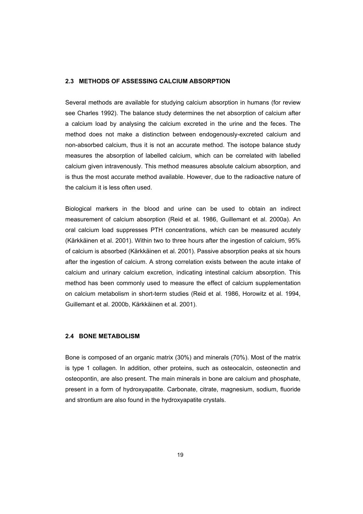## **2.3 METHODS OF ASSESSING CALCIUM ABSORPTION**

Several methods are available for studying calcium absorption in humans (for review see Charles 1992). The balance study determines the net absorption of calcium after a calcium load by analysing the calcium excreted in the urine and the feces. The method does not make a distinction between endogenously-excreted calcium and non-absorbed calcium, thus it is not an accurate method. The isotope balance study measures the absorption of labelled calcium, which can be correlated with labelled calcium given intravenously. This method measures absolute calcium absorption, and is thus the most accurate method available. However, due to the radioactive nature of the calcium it is less often used.

Biological markers in the blood and urine can be used to obtain an indirect measurement of calcium absorption (Reid et al. 1986, Guillemant et al. 2000a). An oral calcium load suppresses PTH concentrations, which can be measured acutely (Kärkkäinen et al. 2001). Within two to three hours after the ingestion of calcium, 95% of calcium is absorbed (Kärkkäinen et al. 2001). Passive absorption peaks at six hours after the ingestion of calcium. A strong correlation exists between the acute intake of calcium and urinary calcium excretion, indicating intestinal calcium absorption. This method has been commonly used to measure the effect of calcium supplementation on calcium metabolism in short-term studies (Reid et al. 1986, Horowitz et al. 1994, Guillemant et al. 2000b, Kärkkäinen et al. 2001).

## **2.4 BONE METABOLISM**

Bone is composed of an organic matrix (30%) and minerals (70%). Most of the matrix is type 1 collagen. In addition, other proteins, such as osteocalcin, osteonectin and osteopontin, are also present. The main minerals in bone are calcium and phosphate, present in a form of hydroxyapatite. Carbonate, citrate, magnesium, sodium, fluoride and strontium are also found in the hydroxyapatite crystals.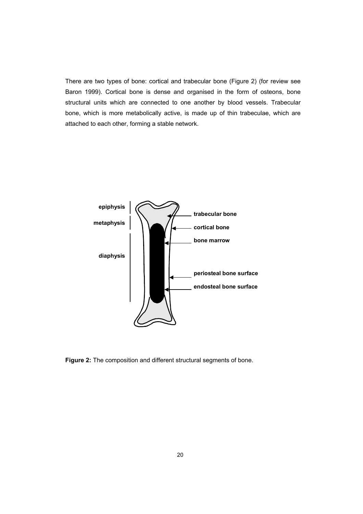There are two types of bone: cortical and trabecular bone (Figure 2) (for review see Baron 1999). Cortical bone is dense and organised in the form of osteons, bone structural units which are connected to one another by blood vessels. Trabecular bone, which is more metabolically active, is made up of thin trabeculae, which are attached to each other, forming a stable network.



**Figure 2:** The composition and different structural segments of bone.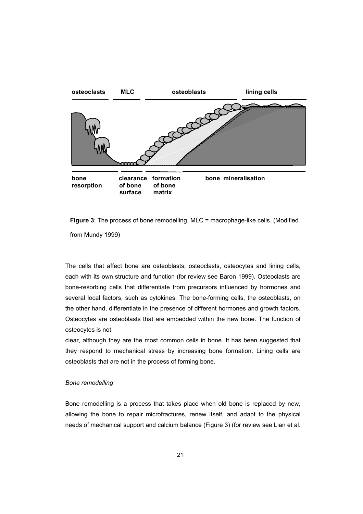

**Figure 3**: The process of bone remodelling. MLC = macrophage-like cells. (Modified from Mundy 1999)

The cells that affect bone are osteoblasts, osteoclasts, osteocytes and lining cells, each with its own structure and function (for review see Baron 1999). Osteoclasts are bone-resorbing cells that differentiate from precursors influenced by hormones and several local factors, such as cytokines. The bone-forming cells, the osteoblasts, on the other hand, differentiate in the presence of different hormones and growth factors. Osteocytes are osteoblasts that are embedded within the new bone. The function of osteocytes is not

clear, although they are the most common cells in bone. It has been suggested that they respond to mechanical stress by increasing bone formation. Lining cells are osteoblasts that are not in the process of forming bone.

## *Bone remodelling*

Bone remodelling is a process that takes place when old bone is replaced by new, allowing the bone to repair microfractures, renew itself, and adapt to the physical needs of mechanical support and calcium balance (Figure 3) (for review see Lian et al.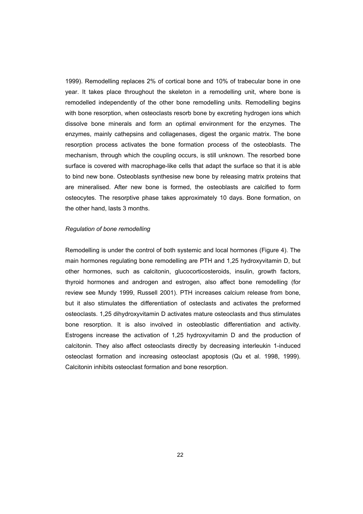1999). Remodelling replaces 2% of cortical bone and 10% of trabecular bone in one year. It takes place throughout the skeleton in a remodelling unit, where bone is remodelled independently of the other bone remodelling units. Remodelling begins with bone resorption, when osteoclasts resorb bone by excreting hydrogen ions which dissolve bone minerals and form an optimal environment for the enzymes. The enzymes, mainly cathepsins and collagenases, digest the organic matrix. The bone resorption process activates the bone formation process of the osteoblasts. The mechanism, through which the coupling occurs, is still unknown. The resorbed bone surface is covered with macrophage-like cells that adapt the surface so that it is able to bind new bone. Osteoblasts synthesise new bone by releasing matrix proteins that are mineralised. After new bone is formed, the osteoblasts are calcified to form osteocytes. The resorptive phase takes approximately 10 days. Bone formation, on the other hand, lasts 3 months.

#### *Regulation of bone remodelling*

Remodelling is under the control of both systemic and local hormones (Figure 4). The main hormones regulating bone remodelling are PTH and 1,25 hydroxyvitamin D, but other hormones, such as calcitonin, glucocorticosteroids, insulin, growth factors, thyroid hormones and androgen and estrogen, also affect bone remodelling (for review see Mundy 1999, Russell 2001). PTH increases calcium release from bone, but it also stimulates the differentiation of osteclasts and activates the preformed osteoclasts. 1,25 dihydroxyvitamin D activates mature osteoclasts and thus stimulates bone resorption. It is also involved in osteoblastic differentiation and activity. Estrogens increase the activation of 1,25 hydroxyvitamin D and the production of calcitonin. They also affect osteoclasts directly by decreasing interleukin 1-induced osteoclast formation and increasing osteoclast apoptosis (Qu et al. 1998, 1999). Calcitonin inhibits osteoclast formation and bone resorption.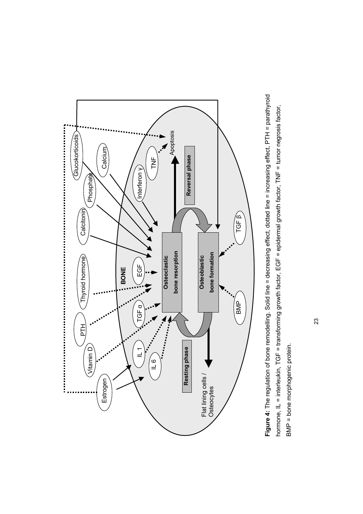

Figure 4: The regulation of bone remodelling. Solid line = decreasing effect, dotted line = increasing effect, PTH = parathyroid **Figure 4:** The regulation of bone remodelling. Solid line = decreasing effect, dotted line = increasing effect, PTH = parathyroid hormone, IL = interleukin, TGF = transforming growth factor, EGF = epidermal growth factor, TNF = tumor negrosis factor, hormone, IL = interleukin, TGF = transforming growth factor, EGF = epidermal growth factor, TNF = tumor negrosis factor, BMP = bone morphogenic protein. BMP = bone morphogenic protein.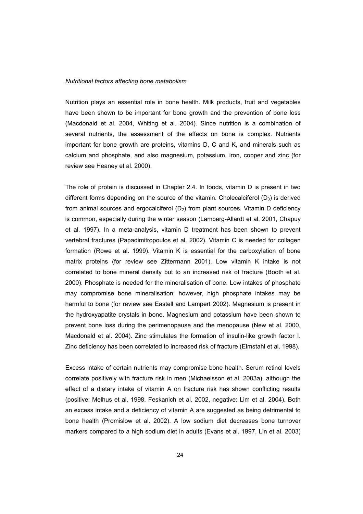#### *Nutritional factors affecting bone metabolism*

Nutrition plays an essential role in bone health. Milk products, fruit and vegetables have been shown to be important for bone growth and the prevention of bone loss (Macdonald et al. 2004, Whiting et al. 2004). Since nutrition is a combination of several nutrients, the assessment of the effects on bone is complex. Nutrients important for bone growth are proteins, vitamins D, C and K, and minerals such as calcium and phosphate, and also magnesium, potassium, iron, copper and zinc (for review see Heaney et al. 2000).

The role of protein is discussed in Chapter 2.4. In foods, vitamin D is present in two different forms depending on the source of the vitamin. Cholecalciferol  $(D_3)$  is derived from animal sources and ergocalciferol  $(D_2)$  from plant sources. Vitamin D deficiency is common, especially during the winter season (Lamberg-Allardt et al. 2001, Chapuy et al. 1997). In a meta-analysis, vitamin D treatment has been shown to prevent vertebral fractures (Papadimitropoulos et al. 2002). Vitamin C is needed for collagen formation (Rowe et al. 1999). Vitamin K is essential for the carboxylation of bone matrix proteins (for review see Zittermann 2001). Low vitamin K intake is not correlated to bone mineral density but to an increased risk of fracture (Booth et al. 2000). Phosphate is needed for the mineralisation of bone. Low intakes of phosphate may compromise bone mineralisation; however, high phosphate intakes may be harmful to bone (for review see Eastell and Lampert 2002). Magnesium is present in the hydroxyapatite crystals in bone. Magnesium and potassium have been shown to prevent bone loss during the perimenopause and the menopause (New et al. 2000, Macdonald et al. 2004). Zinc stimulates the formation of insulin-like growth factor I. Zinc deficiency has been correlated to increased risk of fracture (Elmstahl et al. 1998).

Excess intake of certain nutrients may compromise bone health. Serum retinol levels correlate positively with fracture risk in men (Michaelsson et al. 2003a), although the effect of a dietary intake of vitamin A on fracture risk has shown conflicting results (positive: Melhus et al. 1998, Feskanich et al. 2002, negative: Lim et al. 2004). Both an excess intake and a deficiency of vitamin A are suggested as being detrimental to bone health (Promislow et al. 2002). A low sodium diet decreases bone turnover markers compared to a high sodium diet in adults (Evans et al. 1997, Lin et al. 2003)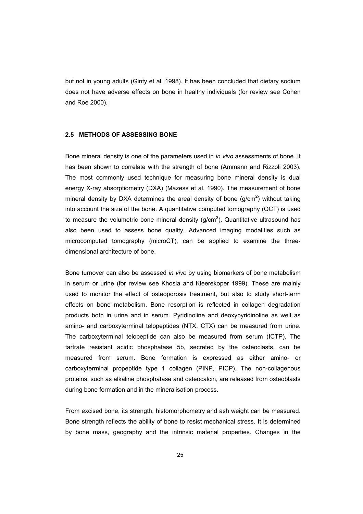but not in young adults (Ginty et al. 1998). It has been concluded that dietary sodium does not have adverse effects on bone in healthy individuals (for review see Cohen and Roe 2000).

## **2.5 METHODS OF ASSESSING BONE**

Bone mineral density is one of the parameters used in *in vivo* assessments of bone. It has been shown to correlate with the strength of bone (Ammann and Rizzoli 2003). The most commonly used technique for measuring bone mineral density is dual energy X-ray absorptiometry (DXA) (Mazess et al. 1990). The measurement of bone mineral density by DXA determines the areal density of bone ( $g/cm<sup>2</sup>$ ) without taking into account the size of the bone. A quantitative computed tomography (QCT) is used to measure the volumetric bone mineral density (g/cm<sup>3</sup>). Quantitative ultrasound has also been used to assess bone quality. Advanced imaging modalities such as microcomputed tomography (microCT), can be applied to examine the threedimensional architecture of bone.

Bone turnover can also be assessed *in vivo* by using biomarkers of bone metabolism in serum or urine (for review see Khosla and Kleerekoper 1999). These are mainly used to monitor the effect of osteoporosis treatment, but also to study short-term effects on bone metabolism. Bone resorption is reflected in collagen degradation products both in urine and in serum. Pyridinoline and deoxypyridinoline as well as amino- and carboxyterminal telopeptides (NTX, CTX) can be measured from urine. The carboxyterminal telopeptide can also be measured from serum (ICTP). The tartrate resistant acidic phosphatase 5b, secreted by the osteoclasts, can be measured from serum. Bone formation is expressed as either amino- or carboxyterminal propeptide type 1 collagen (PINP, PICP). The non-collagenous proteins, such as alkaline phosphatase and osteocalcin, are released from osteoblasts during bone formation and in the mineralisation process.

From excised bone, its strength, histomorphometry and ash weight can be measured. Bone strength reflects the ability of bone to resist mechanical stress. It is determined by bone mass, geography and the intrinsic material properties. Changes in the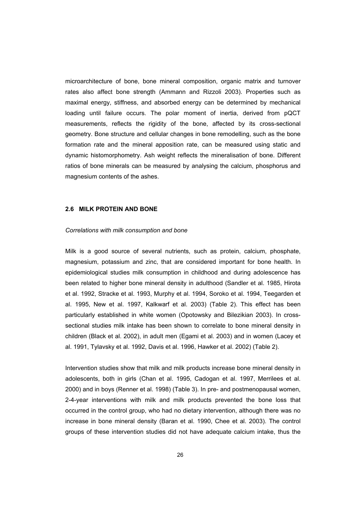microarchitecture of bone, bone mineral composition, organic matrix and turnover rates also affect bone strength (Ammann and Rizzoli 2003). Properties such as maximal energy, stiffness, and absorbed energy can be determined by mechanical loading until failure occurs. The polar moment of inertia, derived from pQCT measurements, reflects the rigidity of the bone, affected by its cross-sectional geometry. Bone structure and cellular changes in bone remodelling, such as the bone formation rate and the mineral apposition rate, can be measured using static and dynamic histomorphometry. Ash weight reflects the mineralisation of bone. Different ratios of bone minerals can be measured by analysing the calcium, phosphorus and magnesium contents of the ashes.

### **2.6 MILK PROTEIN AND BONE**

#### *Correlations with milk consumption and bone*

Milk is a good source of several nutrients, such as protein, calcium, phosphate, magnesium, potassium and zinc, that are considered important for bone health. In epidemiological studies milk consumption in childhood and during adolescence has been related to higher bone mineral density in adulthood (Sandler et al. 1985, Hirota et al. 1992, Stracke et al. 1993, Murphy et al. 1994, Soroko et al. 1994, Teegarden et al. 1995, New et al. 1997, Kalkwarf et al. 2003) (Table 2). This effect has been particularly established in white women (Opotowsky and Bilezikian 2003). In crosssectional studies milk intake has been shown to correlate to bone mineral density in children (Black et al. 2002), in adult men (Egami et al. 2003) and in women (Lacey et al. 1991, Tylavsky et al. 1992, Davis et al. 1996, Hawker et al. 2002) (Table 2).

Intervention studies show that milk and milk products increase bone mineral density in adolescents, both in girls (Chan et al. 1995, Cadogan et al. 1997, Merrilees et al. 2000) and in boys (Renner et al. 1998) (Table 3). In pre- and postmenopausal women, 2-4-year interventions with milk and milk products prevented the bone loss that occurred in the control group, who had no dietary intervention, although there was no increase in bone mineral density (Baran et al. 1990, Chee et al. 2003). The control groups of these intervention studies did not have adequate calcium intake, thus the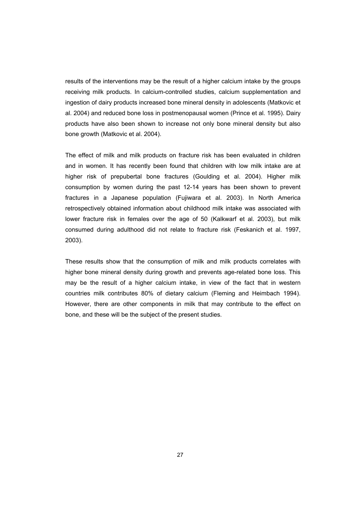results of the interventions may be the result of a higher calcium intake by the groups receiving milk products. In calcium-controlled studies, calcium supplementation and ingestion of dairy products increased bone mineral density in adolescents (Matkovic et al. 2004) and reduced bone loss in postmenopausal women (Prince et al. 1995). Dairy products have also been shown to increase not only bone mineral density but also bone growth (Matkovic et al. 2004).

The effect of milk and milk products on fracture risk has been evaluated in children and in women. It has recently been found that children with low milk intake are at higher risk of prepubertal bone fractures (Goulding et al. 2004). Higher milk consumption by women during the past 12-14 years has been shown to prevent fractures in a Japanese population (Fujiwara et al. 2003). In North America retrospectively obtained information about childhood milk intake was associated with lower fracture risk in females over the age of 50 (Kalkwarf et al. 2003), but milk consumed during adulthood did not relate to fracture risk (Feskanich et al. 1997, 2003).

These results show that the consumption of milk and milk products correlates with higher bone mineral density during growth and prevents age-related bone loss. This may be the result of a higher calcium intake, in view of the fact that in western countries milk contributes 80% of dietary calcium (Fleming and Heimbach 1994). However, there are other components in milk that may contribute to the effect on bone, and these will be the subject of the present studies.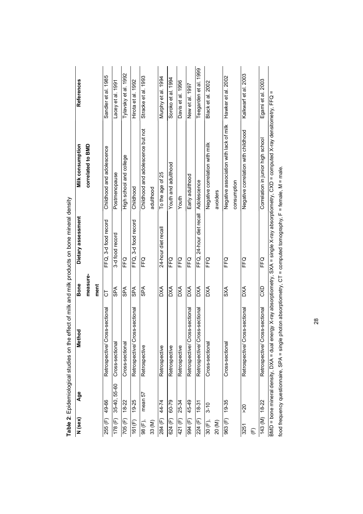|         |              |                                            |            | איינט איז איינט איז איינט איז א איינט איז א איינט איינט איינט איינט איינט איינט איינט איינט איינט איינט איינט א<br>איינט איינט איינט איינט איינט איינט איינט איינט איינט איינט איינט איינט איינט איינט איינט איינט איינט איינט א |                                                                                                                                                 |                       |
|---------|--------------|--------------------------------------------|------------|----------------------------------------------------------------------------------------------------------------------------------------------------------------------------------------------------------------------------------|-------------------------------------------------------------------------------------------------------------------------------------------------|-----------------------|
| N (sex) | <b>Age</b>   | thod<br>ē<br>≌                             | Bone       | Dietary assessment                                                                                                                                                                                                               | Milk consumption                                                                                                                                | References            |
|         |              |                                            | measure-   |                                                                                                                                                                                                                                  | correlated to BMD                                                                                                                               |                       |
|         |              |                                            | ment       |                                                                                                                                                                                                                                  |                                                                                                                                                 |                       |
| 255 (F) | 49-66        | Retrospective/ Cross-sectional             | 5          | FFQ, 3-d food record                                                                                                                                                                                                             | Childhood and adolescence                                                                                                                       | Sandler et al. 1985   |
| 178 (F) | 35-40, 55-60 | Cross-sectional                            | <b>SPA</b> | 3-d food record                                                                                                                                                                                                                  | Postmenopause                                                                                                                                   | Lacey et al. 1991     |
| 705 (F) | $18 - 22$    | Cross-sectional                            | <b>AdS</b> | FFQ                                                                                                                                                                                                                              | High school and college                                                                                                                         | Tylavsky et al. 1992  |
| 161(F)  | 19-25        | Retrospective/Cross-sectional              | SPA        | FFQ, 3-d food record                                                                                                                                                                                                             | Childhood                                                                                                                                       | Hirota et al. 1992    |
| 98 (F), | mean 57      | Retrospective                              | <b>SPA</b> | FFQ                                                                                                                                                                                                                              | Childhood and adolescence but not                                                                                                               | Stracke et al. 1993   |
| 33 (M)  |              |                                            |            |                                                                                                                                                                                                                                  | adulthood                                                                                                                                       |                       |
| 284 (F) | 44-74        | Retrospective                              | DХ         | 24-hour diet recall                                                                                                                                                                                                              | To the age of 25                                                                                                                                | Murphy et al. 1994    |
| 624 (F) | 60-79        | Retrospective                              | <b>AXO</b> | FFQ                                                                                                                                                                                                                              | Youth and adulthood                                                                                                                             | Soroko et al. 1994    |
| 421 (F) | 25-34        | Retrospective                              | <b>DXA</b> | FFQ                                                                                                                                                                                                                              | Youth                                                                                                                                           | Davis et al. 1996     |
| 994 (F) | 45-49        | Retrospective/Cross-sectional              | DХА        | FFQ                                                                                                                                                                                                                              | Early adulthood                                                                                                                                 | New et al. 1997       |
| 224 (F) | $18-31$      | Retrospective/Cross-sectional              | ХQ         | FFQ, 24-hour diet recall                                                                                                                                                                                                         | Adolescence                                                                                                                                     | Teegarden et al. 1999 |
| 30 (F), | $3 - 10$     | Cross-sectional                            | <b>AXC</b> | FFQ                                                                                                                                                                                                                              | Negative correlation with milk                                                                                                                  | Black et al. 2002     |
| 20 (M)  |              |                                            |            |                                                                                                                                                                                                                                  | avoiders                                                                                                                                        |                       |
| 963 (F) | 19-35        | Cross-sectional                            | <b>SXA</b> | FFQ                                                                                                                                                                                                                              | Negative association with lack of milk                                                                                                          | Hawker et al. 2002    |
|         |              |                                            |            |                                                                                                                                                                                                                                  | consumption                                                                                                                                     |                       |
| 3251    | δ<           | Retrospective/Cross-sectional              | <b>DXA</b> | FFQ                                                                                                                                                                                                                              | Negative correlation with childhood                                                                                                             | Kalkwarf et al. 2003  |
| E       |              |                                            |            |                                                                                                                                                                                                                                  |                                                                                                                                                 |                       |
| 143 (M) | 18-22        | Retrospective/Cross-sectional              | <b>CXD</b> | FFQ                                                                                                                                                                                                                              | Correlation in junior high school                                                                                                               | Egami et al. 2003     |
|         |              |                                            |            |                                                                                                                                                                                                                                  | BMD = bone mineral density, DXA = dual energy X-ray absorptiometry, SXA = single X-ray absorptiometry, CXD = computed X-ray densitometry, FFQ = |                       |
|         |              | food frequency questionnaire, SPA = single |            | photon absorptiometry, CT = computed tomography, F = female, M = male.                                                                                                                                                           |                                                                                                                                                 |                       |

Table 2: Epidemiological studies on the effect of milk and milk products on bone mineral density **Table 2**: Epidemiological studies on the effect of milk and milk products on bone mineral density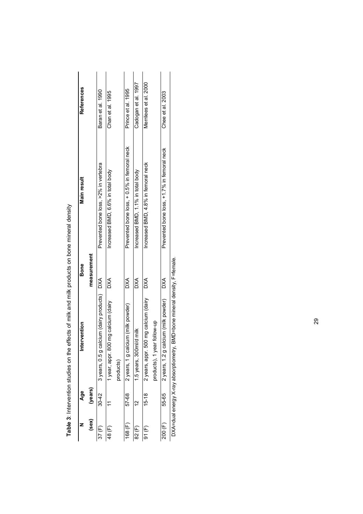|                | Age         | Intervention                                                           | Bone          | Main result                                 | References            |
|----------------|-------------|------------------------------------------------------------------------|---------------|---------------------------------------------|-----------------------|
| $(\text{sex})$ | (years)     |                                                                        | measurement   |                                             |                       |
| 37 (F)         | $30 - 42$   | 3 years, 0.5 g calcium (dairy products) DXA                            |               | Prevented bone loss, >2% in vertebra        | Baran et al. 1990     |
| 48 (F)         |             | 1 year, appr. 800 mg calcium (dairy                                    | $\frac{1}{2}$ | Increased BMD, 6.6% in total body           | Chan et al. 1995      |
|                |             | products)                                                              |               |                                             |                       |
| 168(F)         | 57-68       | 2 years, 1 g calcium (milk powder)                                     | $\frac{1}{2}$ | Prevented bone loss, + 0.5% in femoral neck | Prince et al. 1995    |
| 82 (F)         | $\tilde{c}$ | 1.5 years, 300ml/d milk                                                | XQ            | Increased BMD, 1.1% in total body           | Cadogan et al. 1997   |
| 91(F)          | $15-18$     | 2 years, appr. 500 mg calcium (dairy                                   | $\frac{1}{2}$ | Increased BMD, 4.8% in femoral neck         | Merrilees et al. 2000 |
|                |             | products), 1 year follow-up                                            |               |                                             |                       |
| 200 (F)        | 55-65       | 2 years, 1.2 g calcium (milk powder)                                   | $\frac{1}{2}$ | Prevented bone loss, +1.7% in femoral neck  | Chee et al. 2003      |
|                |             | AXA=dual enerov X-ray absorptiometry BMD=bone mineral density F=female |               |                                             |                       |

Table 3: Intervention studies on the effects of milk and milk products on bone mineral density **Table 3**: Intervention studies on the effects of milk and milk products on bone mineral density

DXA=dual energy X-ray absorptiometry, BMD=bone mineral density, F=female. DAA=DU3 A=PHONO CONDECTIVE CONDECTIVE CONDECTATIVE CONDECTIVE CONDECTIVE CONDECTIVE CONDECTIVE CONDE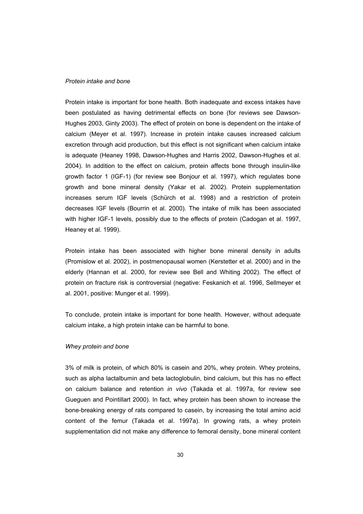## *Protein intake and bone*

Protein intake is important for bone health. Both inadequate and excess intakes have been postulated as having detrimental effects on bone (for reviews see Dawson-Hughes 2003, Ginty 2003). The effect of protein on bone is dependent on the intake of calcium (Meyer et al. 1997). Increase in protein intake causes increased calcium excretion through acid production, but this effect is not significant when calcium intake is adequate (Heaney 1998, Dawson-Hughes and Harris 2002, Dawson-Hughes et al. 2004). In addition to the effect on calcium, protein affects bone through insulin-like growth factor 1 (IGF-1) (for review see Bonjour et al. 1997), which regulates bone growth and bone mineral density (Yakar et al. 2002). Protein supplementation increases serum IGF levels (Schürch et al. 1998) and a restriction of protein decreases IGF levels (Bourrin et al. 2000). The intake of milk has been associated with higher IGF-1 levels, possibly due to the effects of protein (Cadogan et al. 1997, Heaney et al. 1999).

Protein intake has been associated with higher bone mineral density in adults (Promislow et al. 2002), in postmenopausal women (Kerstetter et al. 2000) and in the elderly (Hannan et al. 2000, for review see Bell and Whiting 2002). The effect of protein on fracture risk is controversial (negative: Feskanich et al. 1996, Sellmeyer et al. 2001, positive: Munger et al. 1999).

To conclude, protein intake is important for bone health. However, without adequate calcium intake, a high protein intake can be harmful to bone.

## *Whey protein and bone*

3% of milk is protein, of which 80% is casein and 20%, whey protein. Whey proteins, such as alpha lactalbumin and beta lactoglobulin, bind calcium, but this has no effect on calcium balance and retention *in vivo* (Takada et al. 1997a, for review see Gueguen and Pointillart 2000). In fact, whey protein has been shown to increase the bone-breaking energy of rats compared to casein, by increasing the total amino acid content of the femur (Takada et al. 1997a). In growing rats, a whey protein supplementation did not make any difference to femoral density, bone mineral content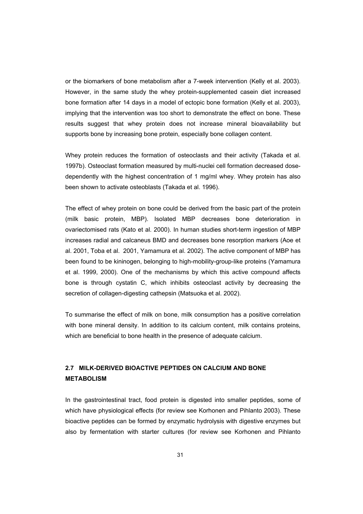or the biomarkers of bone metabolism after a 7-week intervention (Kelly et al. 2003). However, in the same study the whey protein-supplemented casein diet increased bone formation after 14 days in a model of ectopic bone formation (Kelly et al. 2003), implying that the intervention was too short to demonstrate the effect on bone. These results suggest that whey protein does not increase mineral bioavailability but supports bone by increasing bone protein, especially bone collagen content.

Whey protein reduces the formation of osteoclasts and their activity (Takada et al. 1997b). Osteoclast formation measured by multi-nuclei cell formation decreased dosedependently with the highest concentration of 1 mg/ml whey. Whey protein has also been shown to activate osteoblasts (Takada et al. 1996).

The effect of whey protein on bone could be derived from the basic part of the protein (milk basic protein, MBP). Isolated MBP decreases bone deterioration in ovariectomised rats (Kato et al. 2000). In human studies short-term ingestion of MBP increases radial and calcaneus BMD and decreases bone resorption markers (Aoe et al. 2001, Toba et al. 2001, Yamamura et al. 2002). The active component of MBP has been found to be kininogen, belonging to high-mobility-group-like proteins (Yamamura et al. 1999, 2000). One of the mechanisms by which this active compound affects bone is through cystatin C, which inhibits osteoclast activity by decreasing the secretion of collagen-digesting cathepsin (Matsuoka et al. 2002).

To summarise the effect of milk on bone, milk consumption has a positive correlation with bone mineral density. In addition to its calcium content, milk contains proteins, which are beneficial to bone health in the presence of adequate calcium.

# **2.7 MILK-DERIVED BIOACTIVE PEPTIDES ON CALCIUM AND BONE METABOLISM**

In the gastrointestinal tract, food protein is digested into smaller peptides, some of which have physiological effects (for review see Korhonen and Pihlanto 2003). These bioactive peptides can be formed by enzymatic hydrolysis with digestive enzymes but also by fermentation with starter cultures (for review see Korhonen and Pihlanto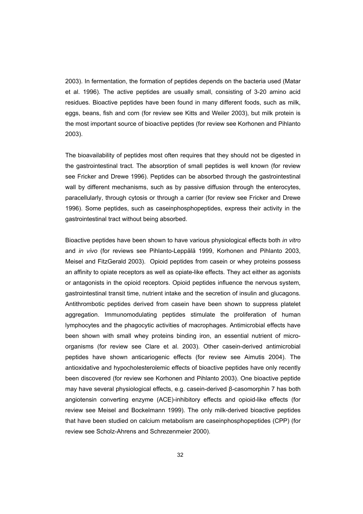2003). In fermentation, the formation of peptides depends on the bacteria used (Matar et al. 1996). The active peptides are usually small, consisting of 3-20 amino acid residues. Bioactive peptides have been found in many different foods, such as milk, eggs, beans, fish and corn (for review see Kitts and Weiler 2003), but milk protein is the most important source of bioactive peptides (for review see Korhonen and Pihlanto 2003).

The bioavailability of peptides most often requires that they should not be digested in the gastrointestinal tract. The absorption of small peptides is well known (for review see Fricker and Drewe 1996). Peptides can be absorbed through the gastrointestinal wall by different mechanisms, such as by passive diffusion through the enterocytes, paracellularly, through cytosis or through a carrier (for review see Fricker and Drewe 1996). Some peptides, such as caseinphosphopeptides, express their activity in the gastrointestinal tract without being absorbed.

Bioactive peptides have been shown to have various physiological effects both *in vitro* and *in vivo* (for reviews see Pihlanto-Leppälä 1999, Korhonen and Pihlanto 2003, Meisel and FitzGerald 2003). Opioid peptides from casein or whey proteins possess an affinity to opiate receptors as well as opiate-like effects. They act either as agonists or antagonists in the opioid receptors. Opioid peptides influence the nervous system, gastrointestinal transit time, nutrient intake and the secretion of insulin and glucagons. Antithrombotic peptides derived from casein have been shown to suppress platelet aggregation. Immunomodulating peptides stimulate the proliferation of human lymphocytes and the phagocytic activities of macrophages. Antimicrobial effects have been shown with small whey proteins binding iron, an essential nutrient of microorganisms (for review see Clare et al. 2003). Other casein-derived antimicrobial peptides have shown anticariogenic effects (for review see Aimutis 2004). The antioxidative and hypocholesterolemic effects of bioactive peptides have only recently been discovered (for review see Korhonen and Pihlanto 2003). One bioactive peptide may have several physiological effects, e.g. casein-derived  $\beta$ -casomorphin 7 has both angiotensin converting enzyme (ACE)-inhibitory effects and opioid-like effects (for review see Meisel and Bockelmann 1999). The only milk-derived bioactive peptides that have been studied on calcium metabolism are caseinphosphopeptides (CPP) (for review see Scholz-Ahrens and Schrezenmeier 2000).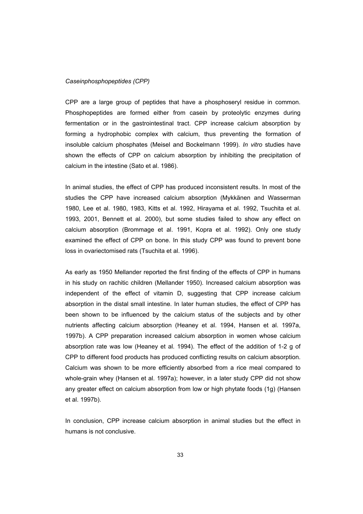#### *Caseinphosphopeptides (CPP)*

CPP are a large group of peptides that have a phosphoseryl residue in common. Phosphopeptides are formed either from casein by proteolytic enzymes during fermentation or in the gastrointestinal tract. CPP increase calcium absorption by forming a hydrophobic complex with calcium, thus preventing the formation of insoluble calcium phosphates (Meisel and Bockelmann 1999). *In vitro* studies have shown the effects of CPP on calcium absorption by inhibiting the precipitation of calcium in the intestine (Sato et al. 1986).

In animal studies, the effect of CPP has produced inconsistent results. In most of the studies the CPP have increased calcium absorption (Mykkänen and Wasserman 1980, Lee et al. 1980, 1983, Kitts et al. 1992, Hirayama et al. 1992, Tsuchita et al. 1993, 2001, Bennett et al. 2000), but some studies failed to show any effect on calcium absorption (Brommage et al. 1991, Kopra et al. 1992). Only one study examined the effect of CPP on bone. In this study CPP was found to prevent bone loss in ovariectomised rats (Tsuchita et al. 1996).

As early as 1950 Mellander reported the first finding of the effects of CPP in humans in his study on rachitic children (Mellander 1950). Increased calcium absorption was independent of the effect of vitamin D, suggesting that CPP increase calcium absorption in the distal small intestine. In later human studies, the effect of CPP has been shown to be influenced by the calcium status of the subjects and by other nutrients affecting calcium absorption (Heaney et al. 1994, Hansen et al. 1997a, 1997b). A CPP preparation increased calcium absorption in women whose calcium absorption rate was low (Heaney et al. 1994). The effect of the addition of 1-2 g of CPP to different food products has produced conflicting results on calcium absorption. Calcium was shown to be more efficiently absorbed from a rice meal compared to whole-grain whey (Hansen et al. 1997a); however, in a later study CPP did not show any greater effect on calcium absorption from low or high phytate foods (1g) (Hansen et al. 1997b).

In conclusion, CPP increase calcium absorption in animal studies but the effect in humans is not conclusive.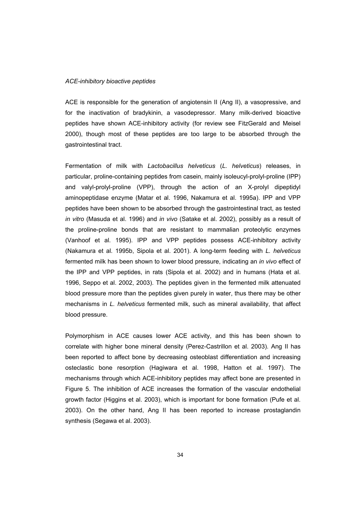#### *ACE-inhibitory bioactive peptides*

ACE is responsible for the generation of angiotensin II (Ang II), a vasopressive, and for the inactivation of bradykinin, a vasodepressor. Many milk-derived bioactive peptides have shown ACE-inhibitory activity (for review see FitzGerald and Meisel 2000), though most of these peptides are too large to be absorbed through the gastrointestinal tract.

Fermentation of milk with *Lactobacillus helveticus* (*L. helveticus*) releases, in particular, proline-containing peptides from casein, mainly isoleucyl-prolyl-proline (IPP) and valyl-prolyl-proline (VPP), through the action of an X-prolyl dipeptidyl aminopeptidase enzyme (Matar et al. 1996, Nakamura et al. 1995a). IPP and VPP peptides have been shown to be absorbed through the gastrointestinal tract, as tested *in vitro* (Masuda et al. 1996) and *in vivo* (Satake et al. 2002), possibly as a result of the proline-proline bonds that are resistant to mammalian proteolytic enzymes (Vanhoof et al. 1995). IPP and VPP peptides possess ACE-inhibitory activity (Nakamura et al. 1995b, Sipola et al. 2001). A long-term feeding with *L. helveticus* fermented milk has been shown to lower blood pressure, indicating an *in vivo* effect of the IPP and VPP peptides, in rats (Sipola et al. 2002) and in humans (Hata et al. 1996, Seppo et al. 2002, 2003). The peptides given in the fermented milk attenuated blood pressure more than the peptides given purely in water, thus there may be other mechanisms in *L. helveticus* fermented milk, such as mineral availability, that affect blood pressure.

Polymorphism in ACE causes lower ACE activity, and this has been shown to correlate with higher bone mineral density (Perez-Castrillon et al. 2003). Ang II has been reported to affect bone by decreasing osteoblast differentiation and increasing osteclastic bone resorption (Hagiwara et al. 1998, Hatton et al. 1997). The mechanisms through which ACE-inhibitory peptides may affect bone are presented in Figure 5. The inhibition of ACE increases the formation of the vascular endothelial growth factor (Higgins et al. 2003), which is important for bone formation (Pufe et al. 2003). On the other hand, Ang II has been reported to increase prostaglandin synthesis (Segawa et al. 2003).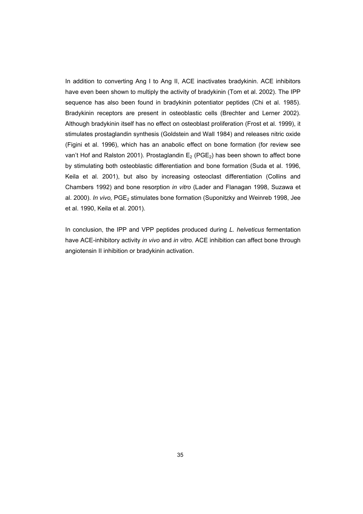In addition to converting Ang I to Ang II, ACE inactivates bradykinin. ACE inhibitors have even been shown to multiply the activity of bradykinin (Tom et al. 2002). The IPP sequence has also been found in bradykinin potentiator peptides (Chi et al. 1985). Bradykinin receptors are present in osteoblastic cells (Brechter and Lerner 2002). Although bradykinin itself has no effect on osteoblast proliferation (Frost et al. 1999), it stimulates prostaglandin synthesis (Goldstein and Wall 1984) and releases nitric oxide (Figini et al. 1996), which has an anabolic effect on bone formation (for review see van't Hof and Ralston 2001). Prostaglandin  $E_2$  (PGE<sub>2</sub>) has been shown to affect bone by stimulating both osteoblastic differentiation and bone formation (Suda et al. 1996, Keila et al. 2001), but also by increasing osteoclast differentiation (Collins and Chambers 1992) and bone resorption *in vitro* (Lader and Flanagan 1998, Suzawa et al. 2000). *In vivo*, PGE<sub>2</sub> stimulates bone formation (Suponitzky and Weinreb 1998, Jee et al. 1990, Keila et al. 2001).

In conclusion, the IPP and VPP peptides produced during *L. helveticus* fermentation have ACE-inhibitory activity *in vivo* and *in vitro.* ACE inhibition can affect bone through angiotensin II inhibition or bradykinin activation.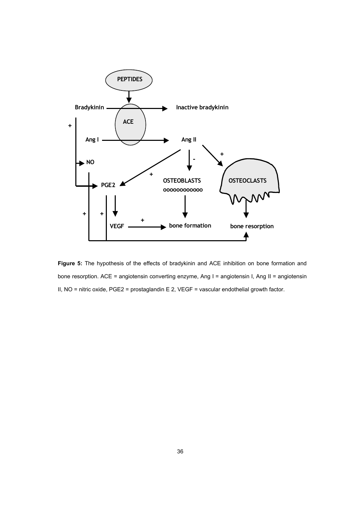

**Figure 5:** The hypothesis of the effects of bradykinin and ACE inhibition on bone formation and bone resorption. ACE = angiotensin converting enzyme, Ang I = angiotensin I, Ang II = angiotensin II, NO = nitric oxide, PGE2 = prostaglandin E 2, VEGF = vascular endothelial growth factor.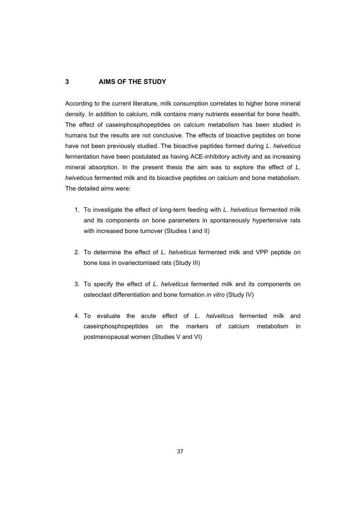# **3 AIMS OF THE STUDY**

According to the current literature, milk consumption correlates to higher bone mineral density. In addition to calcium, milk contains many nutrients essential for bone health. The effect of caseinphosphopeptides on calcium metabolism has been studied in humans but the results are not conclusive. The effects of bioactive peptides on bone have not been previously studied. The bioactive peptides formed during *L. helveticus* fermentation have been postulated as having ACE-inhibitory activity and as increasing mineral absorption. In the present thesis the aim was to explore the effect of *L. helveticus* fermented milk and its bioactive peptides on calcium and bone metabolism. The detailed aims were:

- 1. To investigate the effect of long-term feeding with *L. helveticus* fermented milk and its components on bone parameters in spontaneously hypertensive rats with increased bone turnover (Studies I and II)
- 2. To determine the effect of *L. helveticus* fermented milk and VPP peptide on bone loss in ovariectomised rats (Study III)
- 3. To specify the effect of *L. helveticus* fermented milk and its components on osteoclast differentiation and bone formation *in vitro* (Study IV)
- 4. To evaluate the acute effect of *L. helveticus* fermented milk and caseinphosphopeptides on the markers of calcium metabolism in postmenopausal women (Studies V and VI)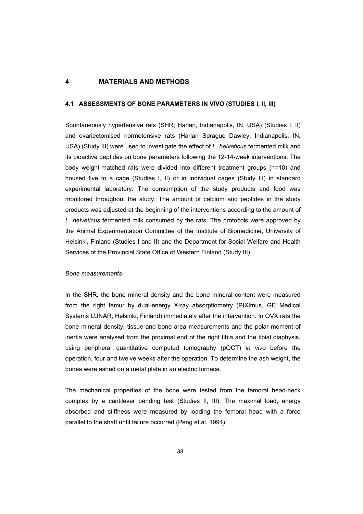# **4 MATERIALS AND METHODS**

#### **4.1 ASSESSMENTS OF BONE PARAMETERS IN VIVO (STUDIES I, II, III)**

Spontaneously hypertensive rats (SHR; Harlan, Indianapolis, IN, USA) (Studies I, II) and ovariectomised normotensive rats (Harlan Sprague Dawley, Indianapolis, IN, USA) (Study III) were used to investigate the effect of *L. helveticus* fermented milk and its bioactive peptides on bone parameters following the 12-14-week interventions. The body weight-matched rats were divided into different treatment groups (n=10) and housed five to a cage (Studies I, II) or in individual cages (Study III) in standard experimental laboratory. The consumption of the study products and food was monitored throughout the study. The amount of calcium and peptides in the study products was adjusted at the beginning of the interventions according to the amount of *L. helveticus* fermented milk consumed by the rats. The protocols were approved by the Animal Experimentation Committee of the Institute of Biomedicine, University of Helsinki, Finland (Studies I and II) and the Department for Social Welfare and Health Services of the Provincial State Office of Western Finland (Study III).

#### *Bone measurements*

In the SHR, the bone mineral density and the bone mineral content were measured from the right femur by dual-energy X-ray absorptiometry (PIXImus, GE Medical Systems LUNAR, Helsinki, Finland) immediately after the intervention. In OVX rats the bone mineral density, tissue and bone area measurements and the polar moment of inertia were analysed from the proximal end of the right tibia and the tibial diaphysis, using peripheral quantitative computed tomography (pQCT) *in vivo* before the operation, four and twelve weeks after the operation. To determine the ash weight, the bones were ashed on a metal plate in an electric furnace.

The mechanical properties of the bone were tested from the femoral head-neck complex by a cantilever bending test (Studies II, III). The maximal load, energy absorbed and stiffness were measured by loading the femoral head with a force parallel to the shaft until failure occurred (Peng et al. 1994).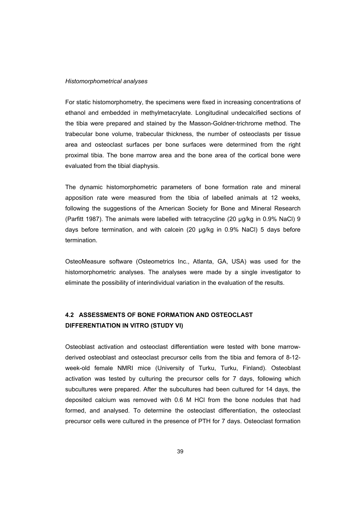#### *Histomorphometrical analyses*

For static histomorphometry, the specimens were fixed in increasing concentrations of ethanol and embedded in methylmetacrylate. Longitudinal undecalcified sections of the tibia were prepared and stained by the Masson-Goldner-trichrome method. The trabecular bone volume, trabecular thickness, the number of osteoclasts per tissue area and osteoclast surfaces per bone surfaces were determined from the right proximal tibia. The bone marrow area and the bone area of the cortical bone were evaluated from the tibial diaphysis.

The dynamic histomorphometric parameters of bone formation rate and mineral apposition rate were measured from the tibia of labelled animals at 12 weeks, following the suggestions of the American Society for Bone and Mineral Research (Parfitt 1987). The animals were labelled with tetracycline (20 µg/kg in 0.9% NaCl) 9 days before termination, and with calcein (20 µg/kg in 0.9% NaCl) 5 days before termination.

OsteoMeasure software (Osteometrics Inc., Atlanta, GA, USA) was used for the histomorphometric analyses. The analyses were made by a single investigator to eliminate the possibility of interindividual variation in the evaluation of the results.

# **4.2 ASSESSMENTS OF BONE FORMATION AND OSTEOCLAST DIFFERENTIATION IN VITRO (STUDY VI)**

Osteoblast activation and osteoclast differentiation were tested with bone marrowderived osteoblast and osteoclast precursor cells from the tibia and femora of 8-12 week-old female NMRI mice (University of Turku, Turku, Finland). Osteoblast activation was tested by culturing the precursor cells for 7 days, following which subcultures were prepared. After the subcultures had been cultured for 14 days, the deposited calcium was removed with 0.6 M HCl from the bone nodules that had formed, and analysed. To determine the osteoclast differentiation, the osteoclast precursor cells were cultured in the presence of PTH for 7 days. Osteoclast formation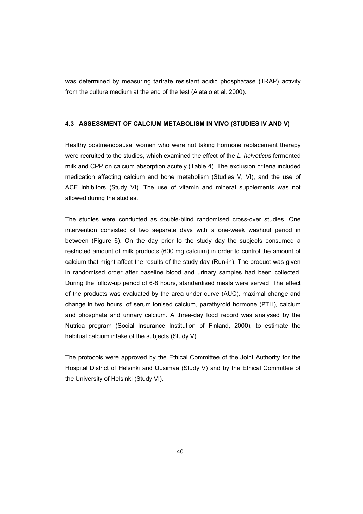was determined by measuring tartrate resistant acidic phosphatase (TRAP) activity from the culture medium at the end of the test (Alatalo et al. 2000).

# **4.3 ASSESSMENT OF CALCIUM METABOLISM IN VIVO (STUDIES IV AND V)**

Healthy postmenopausal women who were not taking hormone replacement therapy were recruited to the studies, which examined the effect of the *L. helveticus* fermented milk and CPP on calcium absorption acutely (Table 4). The exclusion criteria included medication affecting calcium and bone metabolism (Studies V, VI), and the use of ACE inhibitors (Study VI). The use of vitamin and mineral supplements was not allowed during the studies.

The studies were conducted as double-blind randomised cross-over studies. One intervention consisted of two separate days with a one-week washout period in between (Figure 6). On the day prior to the study day the subjects consumed a restricted amount of milk products (600 mg calcium) in order to control the amount of calcium that might affect the results of the study day (Run-in). The product was given in randomised order after baseline blood and urinary samples had been collected. During the follow-up period of 6-8 hours, standardised meals were served. The effect of the products was evaluated by the area under curve (AUC), maximal change and change in two hours, of serum ionised calcium, parathyroid hormone (PTH), calcium and phosphate and urinary calcium. A three-day food record was analysed by the Nutrica program (Social Insurance Institution of Finland, 2000), to estimate the habitual calcium intake of the subjects (Study V).

The protocols were approved by the Ethical Committee of the Joint Authority for the Hospital District of Helsinki and Uusimaa (Study V) and by the Ethical Committee of the University of Helsinki (Study VI).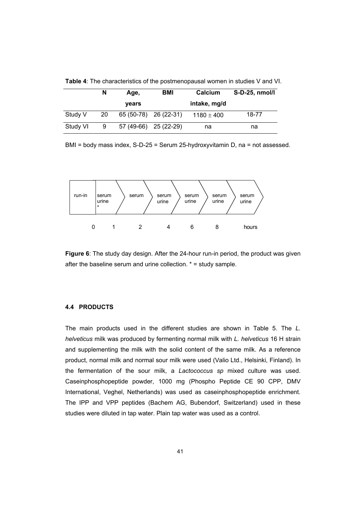|          | N  | Age,                  | BMI                   | Calcium        | S-D-25, nmol/l |
|----------|----|-----------------------|-----------------------|----------------|----------------|
|          |    | <b>vears</b>          |                       | intake, mg/d   |                |
| Study V  | 20 |                       | 65 (50-78) 26 (22-31) | $1180 \pm 400$ | 18-77          |
| Study VI | 9  | 57 (49-66) 25 (22-29) |                       | na             | na             |

**Table 4**: The characteristics of the postmenopausal women in studies V and VI.

BMI = body mass index, S-D-25 = Serum 25-hydroxyvitamin D, na = not assessed.



**Figure 6**: The study day design. After the 24-hour run-in period, the product was given after the baseline serum and urine collection. \* = study sample.

## **4.4 PRODUCTS**

The main products used in the different studies are shown in Table 5. The *L. helveticus* milk was produced by fermenting normal milk with *L. helveticus* 16 H strain and supplementing the milk with the solid content of the same milk. As a reference product, normal milk and normal sour milk were used (Valio Ltd., Helsinki, Finland). In the fermentation of the sour milk, a *Lactococcus sp* mixed culture was used. Caseinphosphopeptide powder, 1000 mg (Phospho Peptide CE 90 CPP, DMV International, Veghel, Netherlands) was used as caseinphosphopeptide enrichment. The IPP and VPP peptides (Bachem AG, Bubendorf, Switzerland) used in these studies were diluted in tap water. Plain tap water was used as a control.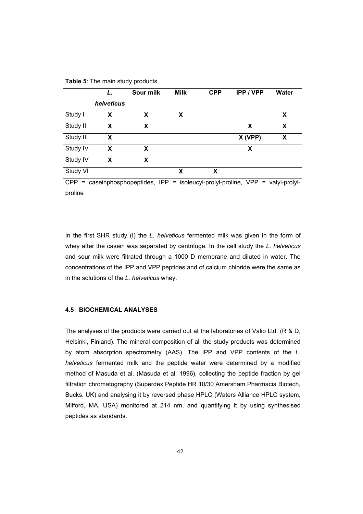|           | L.         | Sour milk | <b>Milk</b> | <b>CPP</b> | <b>IPP / VPP</b>                                                           | Water |
|-----------|------------|-----------|-------------|------------|----------------------------------------------------------------------------|-------|
|           | helveticus |           |             |            |                                                                            |       |
| Study I   | X          | X         | x           |            |                                                                            | X     |
| Study II  | X          | x         |             |            | X                                                                          | X     |
| Study III | X          |           |             |            | X (VPP)                                                                    | X     |
| Study IV  | X          | x         |             |            | X                                                                          |       |
| Study IV  | X          | X         |             |            |                                                                            |       |
| Study VI  |            |           | x           | X          |                                                                            |       |
| $CPP =$   |            |           |             |            | caseinphosphopeptides, IPP = isoleucyl-prolyl-proline, VPP = valyl-prolyl- |       |
| proline   |            |           |             |            |                                                                            |       |

**Table 5**: The main study products.

In the first SHR study (I) the *L. helveticus* fermented milk was given in the form of whey after the casein was separated by centrifuge. In the cell study the *L. helveticus* and sour milk were filtrated through a 1000 D membrane and diluted in water. The concentrations of the IPP and VPP peptides and of calcium chloride were the same as in the solutions of the *L. helveticus* whey.

### **4.5 BIOCHEMICAL ANALYSES**

The analyses of the products were carried out at the laboratories of Valio Ltd. (R & D, Helsinki, Finland). The mineral composition of all the study products was determined by atom absorption spectrometry (AAS). The IPP and VPP contents of the *L. helveticus* fermented milk and the peptide water were determined by a modified method of Masuda et al. (Masuda et al. 1996), collecting the peptide fraction by gel filtration chromatography (Superdex Peptide HR 10/30 Amersham Pharmacia Biotech, Bucks, UK) and analysing it by reversed phase HPLC (Waters Alliance HPLC system, Milford, MA, USA) monitored at 214 nm, and quantifying it by using synthesised peptides as standards.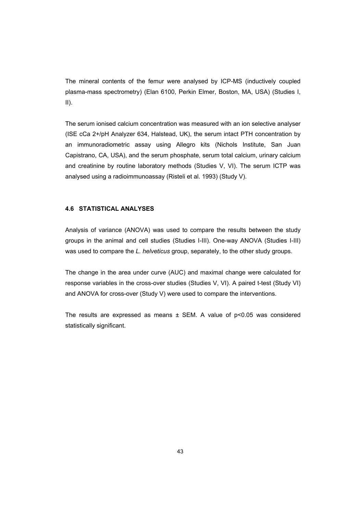The mineral contents of the femur were analysed by ICP-MS (inductively coupled plasma-mass spectrometry) (Elan 6100, Perkin Elmer, Boston, MA, USA) (Studies I,  $II$ ).

The serum ionised calcium concentration was measured with an ion selective analyser (ISE cCa 2+/pH Analyzer 634, Halstead, UK), the serum intact PTH concentration by an immunoradiometric assay using Allegro kits (Nichols Institute, San Juan Capistrano, CA, USA), and the serum phosphate, serum total calcium, urinary calcium and creatinine by routine laboratory methods (Studies V, VI). The serum ICTP was analysed using a radioimmunoassay (Risteli et al. 1993) (Study V).

## **4.6 STATISTICAL ANALYSES**

Analysis of variance (ANOVA) was used to compare the results between the study groups in the animal and cell studies (Studies I-III). One-way ANOVA (Studies I-III) was used to compare the *L. helveticus* group, separately, to the other study groups.

The change in the area under curve (AUC) and maximal change were calculated for response variables in the cross-over studies (Studies V, VI). A paired t-test (Study VI) and ANOVA for cross-over (Study V) were used to compare the interventions.

The results are expressed as means  $\pm$  SEM. A value of  $p<0.05$  was considered statistically significant.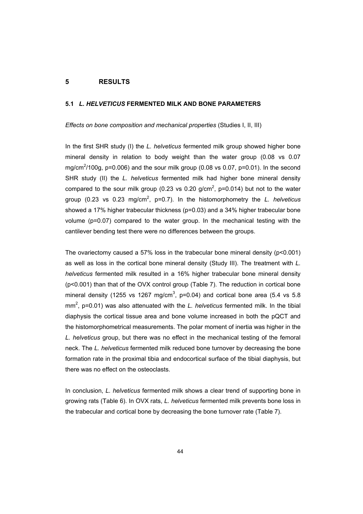### **5 RESULTS**

#### **5.1** *L. HELVETICUS* **FERMENTED MILK AND BONE PARAMETERS**

*Effects on bone composition and mechanical properties* (Studies I, II, III)

In the first SHR study (I) the *L. helveticus* fermented milk group showed higher bone mineral density in relation to body weight than the water group (0.08 vs 0.07 mg/cm<sup>2</sup>/100g, p=0.006) and the sour milk group (0.08 vs 0.07, p=0.01). In the second SHR study (II) the *L. helveticus* fermented milk had higher bone mineral density compared to the sour milk group (0.23 vs 0.20 g/cm<sup>2</sup>, p=0.014) but not to the water group (0.23 vs 0.23 mg/cm<sup>2</sup>, p=0.7). In the histomorphometry the *L. helveticus* showed a 17% higher trabecular thickness (p=0.03) and a 34% higher trabecular bone volume (p=0.07) compared to the water group. In the mechanical testing with the cantilever bending test there were no differences between the groups.

The ovariectomy caused a 57% loss in the trabecular bone mineral density  $(p<0.001)$ as well as loss in the cortical bone mineral density (Study III). The treatment with *L. helveticus* fermented milk resulted in a 16% higher trabecular bone mineral density (p<0.001) than that of the OVX control group (Table 7). The reduction in cortical bone mineral density (1255 vs 1267 mg/cm<sup>3</sup>, p=0.04) and cortical bone area (5.4 vs 5.8 mm<sup>2</sup>, p=0.01) was also attenuated with the *L. helveticus* fermented milk. In the tibial diaphysis the cortical tissue area and bone volume increased in both the pQCT and the histomorphometrical measurements. The polar moment of inertia was higher in the *L. helveticus* group, but there was no effect in the mechanical testing of the femoral neck. The *L. helveticus* fermented milk reduced bone turnover by decreasing the bone formation rate in the proximal tibia and endocortical surface of the tibial diaphysis, but there was no effect on the osteoclasts.

In conclusion, *L. helveticus* fermented milk shows a clear trend of supporting bone in growing rats (Table 6). In OVX rats, *L. helveticus* fermented milk prevents bone loss in the trabecular and cortical bone by decreasing the bone turnover rate (Table 7).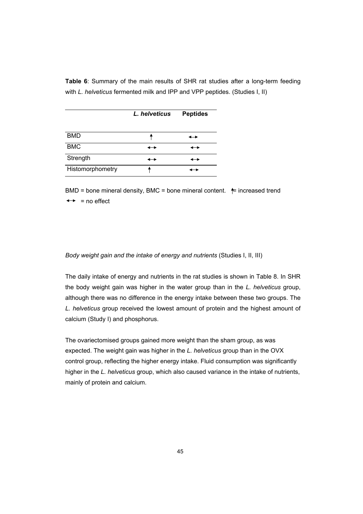**Table 6**: Summary of the main results of SHR rat studies after a long-term feeding with *L. helveticus* fermented milk and IPP and VPP peptides. (Studies I, II)

|                  | L. helveticus            | <b>Peptides</b> |
|------------------|--------------------------|-----------------|
| <b>BMD</b>       |                          |                 |
| <b>BMC</b>       | ⊷                        |                 |
| Strength         | $\overline{\phantom{a}}$ |                 |
| Histomorphometry |                          |                 |

BMD = bone mineral density, BMC = bone mineral content.  $\leftarrow$  increased trend  $\leftrightarrow$  = no effect

# *Body weight gain and the intake of energy and nutrients* (Studies I, II, III)

The daily intake of energy and nutrients in the rat studies is shown in Table 8. In SHR the body weight gain was higher in the water group than in the *L. helveticus* group, although there was no difference in the energy intake between these two groups. The *L. helveticus* group received the lowest amount of protein and the highest amount of calcium (Study I) and phosphorus.

The ovariectomised groups gained more weight than the sham group, as was expected. The weight gain was higher in the *L. helveticus* group than in the OVX control group, reflecting the higher energy intake. Fluid consumption was significantly higher in the *L. helveticus* group, which also caused variance in the intake of nutrients, mainly of protein and calcium.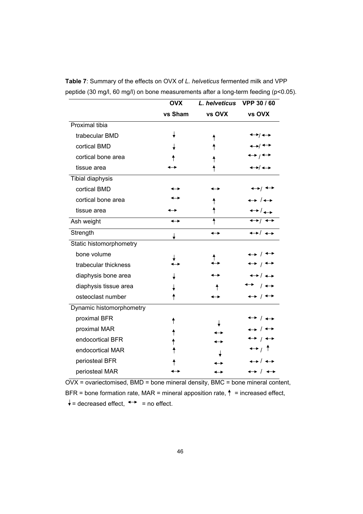|                          | <b>OVX</b> | L. helveticus            | VPP 30 / 60                           |
|--------------------------|------------|--------------------------|---------------------------------------|
|                          | vs Sham    | vs OVX                   | vs OVX                                |
| <b>Proximal tibia</b>    |            |                          |                                       |
| trabecular BMD           |            |                          | ◆→/←→                                 |
| cortical BMD             |            |                          | ↔ ←                                   |
| cortical bone area       |            |                          | $\leftrightarrow$ $\rightarrow$       |
| tissue area              |            |                          | ◆→ → →                                |
| Tibial diaphysis         |            |                          |                                       |
| cortical BMD             |            |                          | ←→/ ←→                                |
| cortical bone area       |            |                          | → /←                                  |
| tissue area              |            |                          | ←▸ / ←                                |
| Ash weight               |            | ↟                        | $\leftrightarrow$ $\rightarrow$       |
| Strength                 |            | $\overline{\phantom{a}}$ | $\leftrightarrow$ / $\leftrightarrow$ |
| Static histomorphometry  |            |                          |                                       |
| bone volume              |            |                          | $\rightarrow$                         |
| trabecular thickness     |            |                          | $\leftrightarrow$ $\rightarrow$       |
| diaphysis bone area      |            |                          | → / ←                                 |
| diaphysis tissue area    |            |                          |                                       |
| osteoclast number        |            |                          |                                       |
| Dynamic histomorphometry |            |                          |                                       |
| proximal BFR             |            |                          |                                       |
| proximal MAR             |            |                          |                                       |
| endocortical BFR         |            |                          | ↔ / ↔                                 |
| endocortical MAR         |            |                          | $\leftrightarrow$ / $\uparrow$        |
| periosteal BFR           |            |                          | ↔ / ↔                                 |
| periosteal MAR           |            |                          | $\leftrightarrow$ / $\leftrightarrow$ |

**Table 7**: Summary of the effects on OVX of *L. helveticus* fermented milk and VPP peptide (30 mg/l, 60 mg/l) on bone measurements after a long-term feeding (p<0.05).

OVX = ovariectomised, BMD = bone mineral density, BMC = bone mineral content, BFR = bone formation rate, MAR = mineral apposition rate,  $\uparrow$  = increased effect,  $\downarrow$  = decreased effect,  $\leftrightarrow$  = no effect.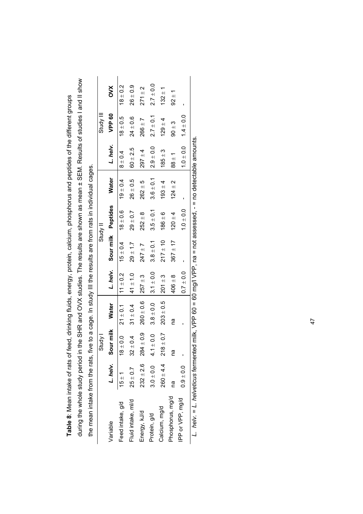during the whole study period in the SHR and OVX studies. The results are shown as mean ± SEM. Results of studies I and II show during the whole study period in the SHR and OVX studies. The results are shown as mean ± SEM. Results of studies I and II show **Table 8**: Mean intake of rats of feed, drinking fluids, energy, protein, calcium, phosphorus and peptides of the different groups Table 8: Mean intake of rats of feed, drinking fluids, energy, protein, calcium, phosphorus and peptides of the different groups the mean intake from the rats, five to a cage. In study III the results are from rats in individual cages. the mean intake from the rats, five to a cage. In study III the results are from rats in individual cages.

|                                                                                                             |               | Study I               |               |                |                    | Study II      |               |               | Study III     |               |
|-------------------------------------------------------------------------------------------------------------|---------------|-----------------------|---------------|----------------|--------------------|---------------|---------------|---------------|---------------|---------------|
| Variable                                                                                                    |               | L. helv.<br>Sour milk | <b>Water</b>  | L. helv.       | Sour milk Peptides |               | <b>Water</b>  | L. helv.      | VPP 60        | <b>NXO</b>    |
| Feed intake, g/d                                                                                            | $15 \pm 1$    | $18 \pm 0.0$          | $21 \pm 0.1$  | $11 \pm 0.2$   | $15 \pm 0.4$       | $18 \pm 0.6$  | $19 \pm 0.4$  | $8 \pm 0.4$   | $18 \pm 0.5$  | $18 \pm 0.2$  |
| Fluid intake, ml/d                                                                                          | $25 \pm 0.7$  | $32 \pm 0.4$          | $31 \pm 0.4$  | $41 \pm 1.0$   | $29 + 1.7$         | $29 \pm 0.7$  | $26 \pm 0.5$  | $60 \pm 2.5$  | $24 \pm 0.6$  | $26 \pm 0.9$  |
| Energy, kJ/d                                                                                                | $232 \pm 2.6$ | $284 \pm 0.9$         | $260 \pm 0.6$ | $257 + 3$      | $247 \pm 7$        | $252 \pm 8$   | $262 + 5$     | $297 + 4$     | $266 \pm 7$   | $271 \pm 2$   |
| Protein, g/d                                                                                                | $3.0 \pm 0.0$ | $4.1 \pm 0.0$         | $3.8 \pm 0.0$ | $ 3.1 \pm 0.0$ | $3.8 \pm 0.1$      | $3.5 \pm 0.1$ | $3.6 \pm 0.1$ | $2.9 \pm 0.0$ | $2.7 \pm 0.1$ | $2.7 \pm 0.0$ |
| Calcium, mg/d                                                                                               | $260 + 4.4$   | $218 \pm 0.7$         | $203 \pm 0.5$ | $201 \pm 3$    | $217 \pm 10$       | $186 \pm 6$   | $193 + 4$     | $185 \pm 3$   | $129 + 4$     | $132 + 1$     |
| Phosphorus, mg/d                                                                                            | m<br>C        | Ξ                     | m<br>M        | $406 \pm 8$    | $367 \pm 17$       | $120 \pm 4$   | $124 \pm 2$   | $88 \pm 1$    | $90 + 3$      | $92 \pm 1$    |
| IPP or VPP, mg/d                                                                                            | $0.9 \pm 0.0$ |                       |               | $0.7 \pm 0.0$  |                    | $1.0 \pm 0.0$ |               | $1.0 \pm 0.0$ | $1.4 \pm 0.0$ |               |
| L. helv. = L. helveticus fermented milk, VPP 60 = 60 mg/l VPP, na = not assessed, - = no detectable amounts |               |                       |               |                |                    |               |               |               |               |               |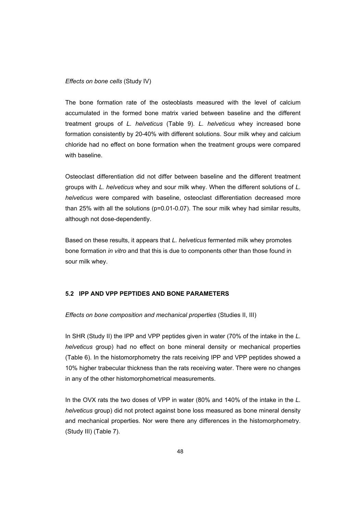## *Effects on bone cells* (Study IV)

The bone formation rate of the osteoblasts measured with the level of calcium accumulated in the formed bone matrix varied between baseline and the different treatment groups of *L. helveticus* (Table 9). *L. helveticus* whey increased bone formation consistently by 20-40% with different solutions. Sour milk whey and calcium chloride had no effect on bone formation when the treatment groups were compared with baseline.

Osteoclast differentiation did not differ between baseline and the different treatment groups with *L. helveticus* whey and sour milk whey. When the different solutions of *L. helveticus* were compared with baseline, osteoclast differentiation decreased more than 25% with all the solutions (p=0.01-0.07). The sour milk whey had similar results, although not dose-dependently.

Based on these results, it appears that *L. helveticus* fermented milk whey promotes bone formation *in vitro* and that this is due to components other than those found in sour milk whey.

# **5.2 IPP AND VPP PEPTIDES AND BONE PARAMETERS**

*Effects on bone composition and mechanical properties* (Studies II, III)

In SHR (Study II) the IPP and VPP peptides given in water (70% of the intake in the *L. helveticus* group) had no effect on bone mineral density or mechanical properties (Table 6). In the histomorphometry the rats receiving IPP and VPP peptides showed a 10% higher trabecular thickness than the rats receiving water. There were no changes in any of the other histomorphometrical measurements.

In the OVX rats the two doses of VPP in water (80% and 140% of the intake in the *L. helveticus* group) did not protect against bone loss measured as bone mineral density and mechanical properties. Nor were there any differences in the histomorphometry. (Study III) (Table 7).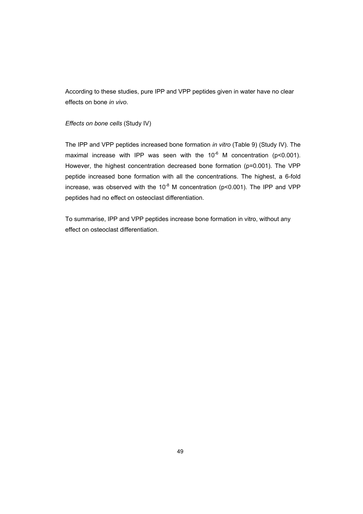According to these studies, pure IPP and VPP peptides given in water have no clear effects on bone *in vivo*.

# *Effects on bone cells* (Study IV)

The IPP and VPP peptides increased bone formation *in vitro* (Table 9) (Study IV). The maximal increase with IPP was seen with the  $10^{-6}$  M concentration (p<0.001). However, the highest concentration decreased bone formation (p=0.001). The VPP peptide increased bone formation with all the concentrations. The highest, a 6-fold increase, was observed with the  $10^{-8}$  M concentration (p<0.001). The IPP and VPP peptides had no effect on osteoclast differentiation.

To summarise, IPP and VPP peptides increase bone formation in vitro, without any effect on osteoclast differentiation.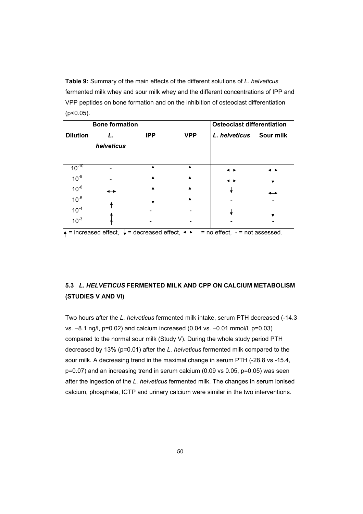**Table 9:** Summary of the main effects of the different solutions of *L. helveticus* fermented milk whey and sour milk whey and the different concentrations of IPP and VPP peptides on bone formation and on the inhibition of osteoclast differentiation  $(p<0.05)$ .

|                 | <b>Bone formation</b> |            |            | <b>Osteoclast differentiation</b>                                                                            |  |
|-----------------|-----------------------|------------|------------|--------------------------------------------------------------------------------------------------------------|--|
| <b>Dilution</b> |                       | <b>IPP</b> | <b>VPP</b> | L. helveticus Sour milk                                                                                      |  |
|                 | helveticus            |            |            |                                                                                                              |  |
|                 |                       |            |            |                                                                                                              |  |
| $10^{-10}$      |                       |            |            |                                                                                                              |  |
| $10^{-8}$       |                       |            |            | ↔                                                                                                            |  |
| $10^{-6}$       |                       |            |            |                                                                                                              |  |
| $10^{-5}$       |                       |            |            |                                                                                                              |  |
| $10^{-4}$       |                       |            |            |                                                                                                              |  |
| $10^{-3}$       |                       |            |            |                                                                                                              |  |
|                 |                       |            |            | $\uparrow$ = increased effect, $\downarrow$ = decreased effect, $\rightarrow$ = no effect, - = not assessed. |  |

# **5.3** *L. HELVETICUS* **FERMENTED MILK AND CPP ON CALCIUM METABOLISM (STUDIES V AND VI)**

Two hours after the *L. helveticus* fermented milk intake, serum PTH decreased (-14.3 vs. –8.1 ng/l, p=0.02) and calcium increased (0.04 vs. –0.01 mmol/l, p=0.03) compared to the normal sour milk (Study V). During the whole study period PTH decreased by 13% (p=0.01) after the *L. helveticus* fermented milk compared to the sour milk. A decreasing trend in the maximal change in serum PTH (-28.8 vs -15.4, p=0.07) and an increasing trend in serum calcium (0.09 vs 0.05, p=0.05) was seen after the ingestion of the *L. helveticus* fermented milk. The changes in serum ionised calcium, phosphate, ICTP and urinary calcium were similar in the two interventions.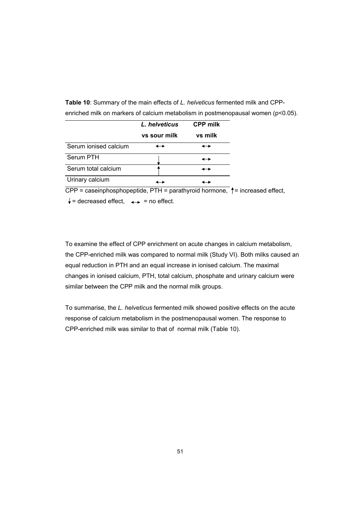**Table 10**: Summary of the main effects of *L. helveticus* fermented milk and CPPenriched milk on markers of calcium metabolism in postmenopausal women (p<0.05).

|                       | L. helveticus | <b>CPP milk</b> |
|-----------------------|---------------|-----------------|
|                       | vs sour milk  | vs milk         |
| Serum ionised calcium |               | ↔               |
| Serum PTH             |               | ↞               |
| Serum total calcium   |               |                 |
| Urinary calcium       |               |                 |

 $CPP = caseinphosphopeptide, PTH = parathvroid hormone,  $†$  = increased effect,$ 

 $\downarrow$  = decreased effect,  $\leftrightarrow$  = no effect.

To examine the effect of CPP enrichment on acute changes in calcium metabolism, the CPP-enriched milk was compared to normal milk (Study VI). Both milks caused an equal reduction in PTH and an equal increase in ionised calcium. The maximal changes in ionised calcium, PTH, total calcium, phosphate and urinary calcium were similar between the CPP milk and the normal milk groups.

To summarise, the *L. helveticus* fermented milk showed positive effects on the acute response of calcium metabolism in the postmenopausal women. The response to CPP-enriched milk was similar to that of normal milk (Table 10).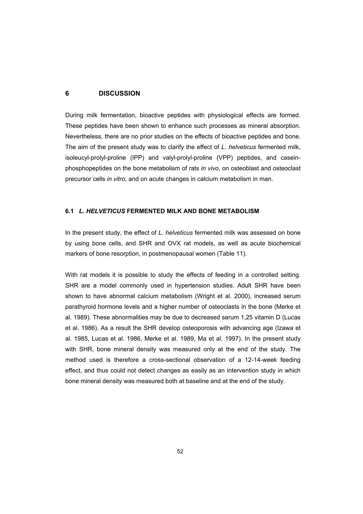# **6 DISCUSSION**

During milk fermentation, bioactive peptides with physiological effects are formed. These peptides have been shown to enhance such processes as mineral absorption. Nevertheless, there are no prior studies on the effects of bioactive peptides and bone. The aim of the present study was to clarify the effect of *L. helveticus* fermented milk, isoleucyl-prolyl-proline (IPP) and valyl-prolyl-proline (VPP) peptides, and caseinphosphopeptides on the bone metabolism of rats *in vivo*, on osteoblast and osteoclast precursor cells *in vitro*, and on acute changes in calcium metabolism in man.

# **6.1** *L. HELVETICUS* **FERMENTED MILK AND BONE METABOLISM**

In the present study, the effect of *L. helveticus* fermented milk was assessed on bone by using bone cells, and SHR and OVX rat models, as well as acute biochemical markers of bone resorption, in postmenopausal women (Table 11).

With rat models it is possible to study the effects of feeding in a controlled setting. SHR are a model commonly used in hypertension studies. Adult SHR have been shown to have abnormal calcium metabolism (Wright et al. 2000), increased serum parathyroid hormone levels and a higher number of osteoclasts in the bone (Merke et al. 1989). These abnormalities may be due to decreased serum 1,25 vitamin D (Lucas et al. 1986). As a result the SHR develop osteoporosis with advancing age (Izawa et al. 1985, Lucas et al. 1986, Merke et al. 1989, Ma et al. 1997). In the present study with SHR, bone mineral density was measured only at the end of the study. The method used is therefore a cross-sectional observation of a 12-14-week feeding effect, and thus could not detect changes as easily as an intervention study in which bone mineral density was measured both at baseline and at the end of the study.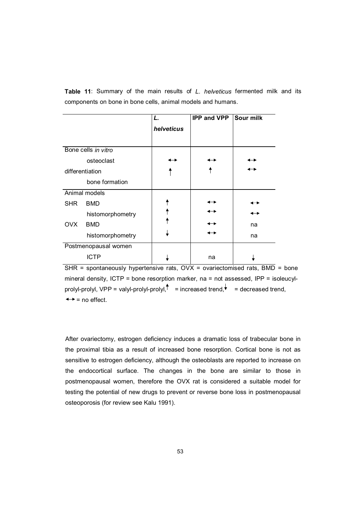**Table 11**: Summary of the main results of *L. helveticus* fermented milk and its components on bone in bone cells, animal models and humans.

|                 |                      | L.         | <b>IPP and VPP</b> | Sour milk |
|-----------------|----------------------|------------|--------------------|-----------|
|                 |                      | helveticus |                    |           |
|                 |                      |            |                    |           |
|                 | Bone cells in vitro  |            |                    |           |
|                 | osteoclast           |            |                    |           |
| differentiation |                      |            |                    |           |
|                 | bone formation       |            |                    |           |
|                 | Animal models        |            |                    |           |
| <b>SHR</b>      | <b>BMD</b>           |            |                    |           |
|                 | histomorphometry     |            |                    |           |
| <b>OVX</b>      | <b>BMD</b>           |            |                    | na        |
|                 | histomorphometry     |            |                    | na        |
|                 | Postmenopausal women |            |                    |           |
|                 | <b>ICTP</b>          |            | na                 |           |

SHR = spontaneously hypertensive rats, OVX = ovariectomised rats, BMD = bone mineral density, ICTP = bone resorption marker, na = not assessed, IPP = isoleucylprolyl-prolyl, VPP = valyl-prolyl-prolyl,  $\uparrow$  = increased trend,  $\uparrow$  = decreased trend,  $\leftrightarrow$  = no effect.

After ovariectomy, estrogen deficiency induces a dramatic loss of trabecular bone in the proximal tibia as a result of increased bone resorption. Cortical bone is not as sensitive to estrogen deficiency, although the osteoblasts are reported to increase on the endocortical surface. The changes in the bone are similar to those in postmenopausal women, therefore the OVX rat is considered a suitable model for testing the potential of new drugs to prevent or reverse bone loss in postmenopausal osteoporosis (for review see Kalu 1991).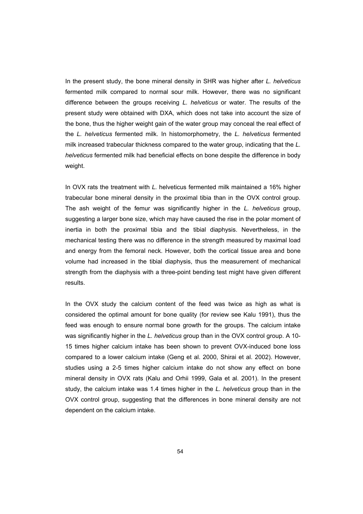In the present study, the bone mineral density in SHR was higher after *L. helveticus* fermented milk compared to normal sour milk. However, there was no significant difference between the groups receiving *L. helveticus* or water. The results of the present study were obtained with DXA, which does not take into account the size of the bone, thus the higher weight gain of the water group may conceal the real effect of the *L. helveticus* fermented milk. In histomorphometry, the *L. helveticus* fermented milk increased trabecular thickness compared to the water group, indicating that the *L. helveticus* fermented milk had beneficial effects on bone despite the difference in body weight.

In OVX rats the treatment with *L.* helveticus fermented milk maintained a 16% higher trabecular bone mineral density in the proximal tibia than in the OVX control group. The ash weight of the femur was significantly higher in the *L. helveticus* group, suggesting a larger bone size, which may have caused the rise in the polar moment of inertia in both the proximal tibia and the tibial diaphysis. Nevertheless, in the mechanical testing there was no difference in the strength measured by maximal load and energy from the femoral neck. However, both the cortical tissue area and bone volume had increased in the tibial diaphysis, thus the measurement of mechanical strength from the diaphysis with a three-point bending test might have given different results.

In the OVX study the calcium content of the feed was twice as high as what is considered the optimal amount for bone quality (for review see Kalu 1991), thus the feed was enough to ensure normal bone growth for the groups. The calcium intake was significantly higher in the *L. helveticus* group than in the OVX control group. A 10- 15 times higher calcium intake has been shown to prevent OVX-induced bone loss compared to a lower calcium intake (Geng et al. 2000, Shirai et al. 2002). However, studies using a 2-5 times higher calcium intake do not show any effect on bone mineral density in OVX rats (Kalu and Orhii 1999, Gala et al. 2001). In the present study, the calcium intake was 1.4 times higher in the *L. helveticus* group than in the OVX control group, suggesting that the differences in bone mineral density are not dependent on the calcium intake.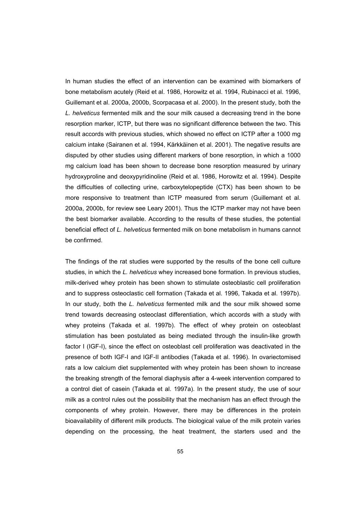In human studies the effect of an intervention can be examined with biomarkers of bone metabolism acutely (Reid et al. 1986, Horowitz et al. 1994, Rubinacci et al. 1996, Guillemant et al. 2000a, 2000b, Scorpacasa et al. 2000). In the present study, both the *L. helveticus* fermented milk and the sour milk caused a decreasing trend in the bone resorption marker, ICTP, but there was no significant difference between the two. This result accords with previous studies, which showed no effect on ICTP after a 1000 mg calcium intake (Sairanen et al. 1994, Kärkkäinen et al. 2001). The negative results are disputed by other studies using different markers of bone resorption, in which a 1000 mg calcium load has been shown to decrease bone resorption measured by urinary hydroxyproline and deoxypyridinoline (Reid et al. 1986, Horowitz et al. 1994). Despite the difficulties of collecting urine, carboxytelopeptide (CTX) has been shown to be more responsive to treatment than ICTP measured from serum (Guillemant et al. 2000a, 2000b, for review see Leary 2001). Thus the ICTP marker may not have been the best biomarker available. According to the results of these studies, the potential beneficial effect of *L. helveticus* fermented milk on bone metabolism in humans cannot be confirmed.

The findings of the rat studies were supported by the results of the bone cell culture studies, in which the *L. helveticus* whey increased bone formation. In previous studies, milk-derived whey protein has been shown to stimulate osteoblastic cell proliferation and to suppress osteoclastic cell formation (Takada et al. 1996, Takada et al. 1997b). In our study, both the *L. helveticus* fermented milk and the sour milk showed some trend towards decreasing osteoclast differentiation, which accords with a study with whey proteins (Takada et al. 1997b). The effect of whey protein on osteoblast stimulation has been postulated as being mediated through the insulin-like growth factor I (IGF-I), since the effect on osteoblast cell proliferation was deactivated in the presence of both IGF-I and IGF-II antibodies (Takada et al. 1996). In ovariectomised rats a low calcium diet supplemented with whey protein has been shown to increase the breaking strength of the femoral diaphysis after a 4-week intervention compared to a control diet of casein (Takada et al. 1997a). In the present study, the use of sour milk as a control rules out the possibility that the mechanism has an effect through the components of whey protein. However, there may be differences in the protein bioavailability of different milk products. The biological value of the milk protein varies depending on the processing, the heat treatment, the starters used and the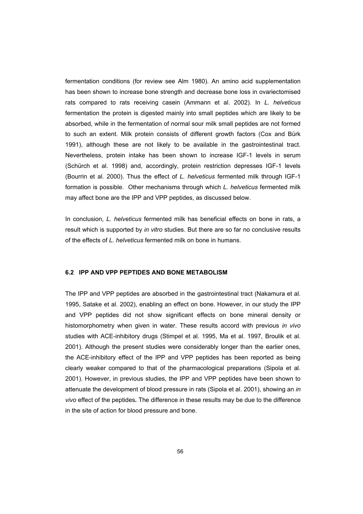fermentation conditions (for review see Alm 1980). An amino acid supplementation has been shown to increase bone strength and decrease bone loss in ovariectomised rats compared to rats receiving casein (Ammann et al. 2002). In *L. helveticus* fermentation the protein is digested mainly into small peptides which are likely to be absorbed, while in the fermentation of normal sour milk small peptides are not formed to such an extent. Milk protein consists of different growth factors (Cox and Bürk 1991), although these are not likely to be available in the gastrointestinal tract. Nevertheless, protein intake has been shown to increase IGF-1 levels in serum (Schürch et al. 1998) and, accordingly, protein restriction depresses IGF-1 levels (Bourrin et al. 2000). Thus the effect of *L. helveticus* fermented milk through IGF-1 formation is possible. Other mechanisms through which *L. helveticus* fermented milk may affect bone are the IPP and VPP peptides, as discussed below.

In conclusion, *L. helveticus* fermented milk has beneficial effects on bone in rats, a result which is supported by *in vitro* studies. But there are so far no conclusive results of the effects of *L. helveticus* fermented milk on bone in humans.

#### **6.2 IPP AND VPP PEPTIDES AND BONE METABOLISM**

The IPP and VPP peptides are absorbed in the gastrointestinal tract (Nakamura et al. 1995, Satake et al. 2002), enabling an effect on bone. However, in our study the IPP and VPP peptides did not show significant effects on bone mineral density or histomorphometry when given in water. These results accord with previous *in vivo* studies with ACE-inhibitory drugs (Stimpel et al. 1995, Ma et al. 1997, Broulik et al. 2001). Although the present studies were considerably longer than the earlier ones, the ACE-inhibitory effect of the IPP and VPP peptides has been reported as being clearly weaker compared to that of the pharmacological preparations (Sipola et al. 2001). However, in previous studies, the IPP and VPP peptides have been shown to attenuate the development of blood pressure in rats (Sipola et al. 2001), showing an *in vivo* effect of the peptides**.** The difference in these results may be due to the difference in the site of action for blood pressure and bone.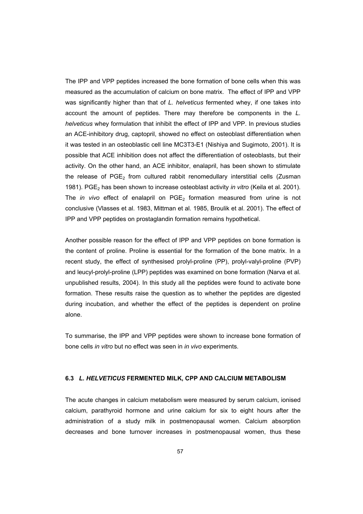The IPP and VPP peptides increased the bone formation of bone cells when this was measured as the accumulation of calcium on bone matrix. The effect of IPP and VPP was significantly higher than that of *L. helveticus* fermented whey, if one takes into account the amount of peptides. There may therefore be components in the *L. helveticus* whey formulation that inhibit the effect of IPP and VPP. In previous studies an ACE-inhibitory drug, captopril, showed no effect on osteoblast differentiation when it was tested in an osteoblastic cell line MC3T3-E1 (Nishiya and Sugimoto, 2001). It is possible that ACE inhibition does not affect the differentiation of osteoblasts, but their activity. On the other hand, an ACE inhibitor, enalapril, has been shown to stimulate the release of  $PGE<sub>2</sub>$  from cultured rabbit renomedullary interstitial cells (Zusman 1981). PGE<sub>2</sub> has been shown to increase osteoblast activity *in vitro* (Keila et al. 2001). The *in vivo* effect of enalapril on PGE<sub>2</sub> formation measured from urine is not conclusive (Vlasses et al. 1983, Mittman et al. 1985, Broulik et al. 2001). The effect of IPP and VPP peptides on prostaglandin formation remains hypothetical.

Another possible reason for the effect of IPP and VPP peptides on bone formation is the content of proline. Proline is essential for the formation of the bone matrix. In a recent study, the effect of synthesised prolyl-proline (PP), prolyl-valyl-proline (PVP) and leucyl-prolyl-proline (LPP) peptides was examined on bone formation (Narva et al. unpublished results, 2004). In this study all the peptides were found to activate bone formation. These results raise the question as to whether the peptides are digested during incubation, and whether the effect of the peptides is dependent on proline alone.

To summarise, the IPP and VPP peptides were shown to increase bone formation of bone cells *in vitro* but no effect was seen in *in vivo* experiments.

#### **6.3** *L. HELVETICUS* **FERMENTED MILK, CPP AND CALCIUM METABOLISM**

The acute changes in calcium metabolism were measured by serum calcium, ionised calcium, parathyroid hormone and urine calcium for six to eight hours after the administration of a study milk in postmenopausal women. Calcium absorption decreases and bone turnover increases in postmenopausal women, thus these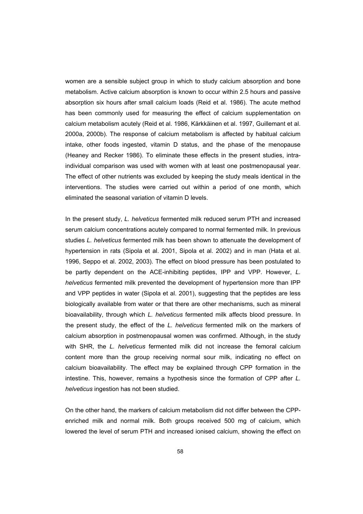women are a sensible subject group in which to study calcium absorption and bone metabolism. Active calcium absorption is known to occur within 2.5 hours and passive absorption six hours after small calcium loads (Reid et al. 1986). The acute method has been commonly used for measuring the effect of calcium supplementation on calcium metabolism acutely (Reid et al. 1986, Kärkkäinen et al. 1997, Guillemant et al. 2000a, 2000b). The response of calcium metabolism is affected by habitual calcium intake, other foods ingested, vitamin D status, and the phase of the menopause (Heaney and Recker 1986). To eliminate these effects in the present studies, intraindividual comparison was used with women with at least one postmenopausal year. The effect of other nutrients was excluded by keeping the study meals identical in the interventions. The studies were carried out within a period of one month, which eliminated the seasonal variation of vitamin D levels.

In the present study, *L. helveticus* fermented milk reduced serum PTH and increased serum calcium concentrations acutely compared to normal fermented milk. In previous studies *L. helveticus* fermented milk has been shown to attenuate the development of hypertension in rats (Sipola et al. 2001, Sipola et al. 2002) and in man (Hata et al. 1996, Seppo et al. 2002, 2003). The effect on blood pressure has been postulated to be partly dependent on the ACE-inhibiting peptides, IPP and VPP. However, *L. helveticus* fermented milk prevented the development of hypertension more than IPP and VPP peptides in water (Sipola et al. 2001), suggesting that the peptides are less biologically available from water or that there are other mechanisms, such as mineral bioavailability, through which *L. helveticus* fermented milk affects blood pressure. In the present study, the effect of the *L. helveticus* fermented milk on the markers of calcium absorption in postmenopausal women was confirmed. Although, in the study with SHR, the *L. helveticus* fermented milk did not increase the femoral calcium content more than the group receiving normal sour milk, indicating no effect on calcium bioavailability. The effect may be explained through CPP formation in the intestine. This, however, remains a hypothesis since the formation of CPP after *L. helveticus* ingestion has not been studied.

On the other hand, the markers of calcium metabolism did not differ between the CPPenriched milk and normal milk. Both groups received 500 mg of calcium, which lowered the level of serum PTH and increased ionised calcium, showing the effect on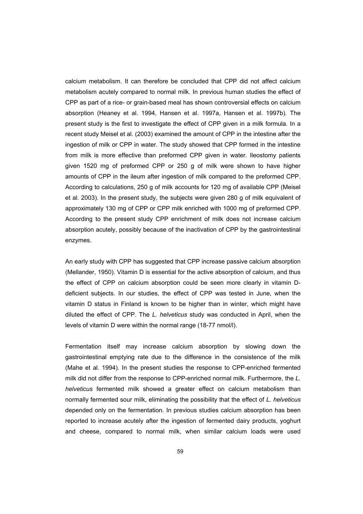calcium metabolism. It can therefore be concluded that CPP did not affect calcium metabolism acutely compared to normal milk. In previous human studies the effect of CPP as part of a rice- or grain-based meal has shown controversial effects on calcium absorption (Heaney et al. 1994, Hansen et al. 1997a, Hansen et al. 1997b). The present study is the first to investigate the effect of CPP given in a milk formula. In a recent study Meisel et al. (2003) examined the amount of CPP in the intestine after the ingestion of milk or CPP in water. The study showed that CPP formed in the intestine from milk is more effective than preformed CPP given in water. Ileostomy patients given 1520 mg of preformed CPP or 250 g of milk were shown to have higher amounts of CPP in the ileum after ingestion of milk compared to the preformed CPP. According to calculations, 250 g of milk accounts for 120 mg of available CPP (Meisel et al. 2003). In the present study, the subjects were given 280 g of milk equivalent of approximately 130 mg of CPP or CPP milk enriched with 1000 mg of preformed CPP. According to the present study CPP enrichment of milk does not increase calcium absorption acutely, possibly because of the inactivation of CPP by the gastrointestinal enzymes.

An early study with CPP has suggested that CPP increase passive calcium absorption (Mellander, 1950). Vitamin D is essential for the active absorption of calcium, and thus the effect of CPP on calcium absorption could be seen more clearly in vitamin Ddeficient subjects. In our studies, the effect of CPP was tested in June, when the vitamin D status in Finland is known to be higher than in winter, which might have diluted the effect of CPP. The *L. helveticus* study was conducted in April, when the levels of vitamin D were within the normal range (18-77 nmol/l).

Fermentation itself may increase calcium absorption by slowing down the gastrointestinal emptying rate due to the difference in the consistence of the milk (Mahe et al. 1994). In the present studies the response to CPP-enriched fermented milk did not differ from the response to CPP-enriched normal milk. Furthermore, the *L. helveticus* fermented milk showed a greater effect on calcium metabolism than normally fermented sour milk, eliminating the possibility that the effect of *L. helveticus* depended only on the fermentation. In previous studies calcium absorption has been reported to increase acutely after the ingestion of fermented dairy products, yoghurt and cheese, compared to normal milk, when similar calcium loads were used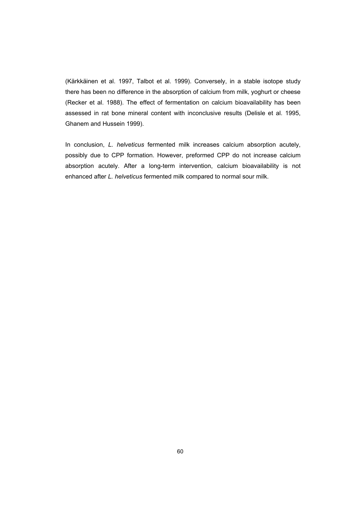(Kärkkäinen et al. 1997, Talbot et al. 1999). Conversely, in a stable isotope study there has been no difference in the absorption of calcium from milk, yoghurt or cheese (Recker et al. 1988). The effect of fermentation on calcium bioavailability has been assessed in rat bone mineral content with inconclusive results (Delisle et al. 1995, Ghanem and Hussein 1999).

In conclusion, *L. helveticus* fermented milk increases calcium absorption acutely, possibly due to CPP formation. However, preformed CPP do not increase calcium absorption acutely. After a long-term intervention, calcium bioavailability is not enhanced after *L. helveticus* fermented milk compared to normal sour milk.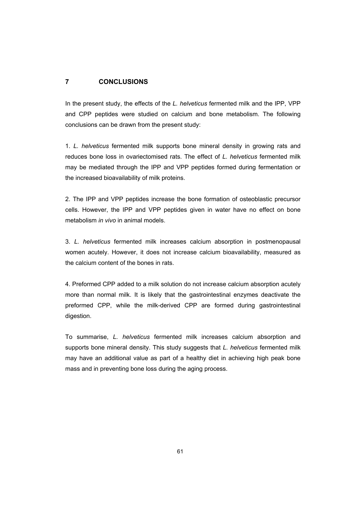# **7 CONCLUSIONS**

In the present study, the effects of the *L. helveticus* fermented milk and the IPP, VPP and CPP peptides were studied on calcium and bone metabolism. The following conclusions can be drawn from the present study:

1. *L. helveticus* fermented milk supports bone mineral density in growing rats and reduces bone loss in ovariectomised rats. The effect of *L. helveticus* fermented milk may be mediated through the IPP and VPP peptides formed during fermentation or the increased bioavailability of milk proteins.

2. The IPP and VPP peptides increase the bone formation of osteoblastic precursor cells. However, the IPP and VPP peptides given in water have no effect on bone metabolism *in vivo* in animal models.

3. *L. helveticus* fermented milk increases calcium absorption in postmenopausal women acutely. However, it does not increase calcium bioavailability, measured as the calcium content of the bones in rats.

4. Preformed CPP added to a milk solution do not increase calcium absorption acutely more than normal milk. It is likely that the gastrointestinal enzymes deactivate the preformed CPP, while the milk-derived CPP are formed during gastrointestinal digestion.

To summarise, *L. helveticus* fermented milk increases calcium absorption and supports bone mineral density. This study suggests that *L. helveticus* fermented milk may have an additional value as part of a healthy diet in achieving high peak bone mass and in preventing bone loss during the aging process.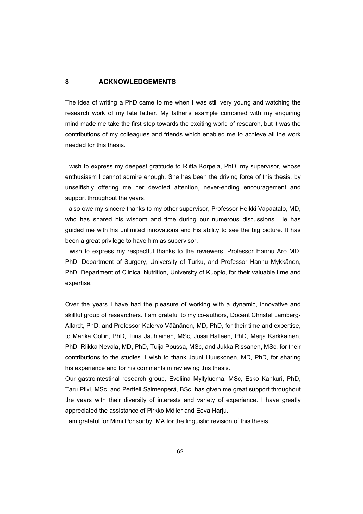# **8 ACKNOWLEDGEMENTS**

The idea of writing a PhD came to me when I was still very young and watching the research work of my late father. My father's example combined with my enquiring mind made me take the first step towards the exciting world of research, but it was the contributions of my colleagues and friends which enabled me to achieve all the work needed for this thesis.

I wish to express my deepest gratitude to Riitta Korpela, PhD, my supervisor, whose enthusiasm I cannot admire enough. She has been the driving force of this thesis, by unselfishly offering me her devoted attention, never-ending encouragement and support throughout the years.

I also owe my sincere thanks to my other supervisor, Professor Heikki Vapaatalo, MD, who has shared his wisdom and time during our numerous discussions. He has guided me with his unlimited innovations and his ability to see the big picture. It has been a great privilege to have him as supervisor.

I wish to express my respectful thanks to the reviewers, Professor Hannu Aro MD, PhD, Department of Surgery, University of Turku, and Professor Hannu Mykkänen, PhD, Department of Clinical Nutrition, University of Kuopio, for their valuable time and expertise.

Over the years I have had the pleasure of working with a dynamic, innovative and skillful group of researchers. I am grateful to my co-authors, Docent Christel Lamberg-Allardt, PhD, and Professor Kalervo Väänänen, MD, PhD, for their time and expertise, to Marika Collin, PhD, Tiina Jauhiainen, MSc, Jussi Halleen, PhD, Merja Kärkkäinen, PhD, Riikka Nevala, MD, PhD, Tuija Poussa, MSc, and Jukka Rissanen, MSc, for their contributions to the studies. I wish to thank Jouni Huuskonen, MD, PhD, for sharing his experience and for his comments in reviewing this thesis.

Our gastrointestinal research group, Eveliina Myllyluoma, MSc, Esko Kankuri, PhD, Taru Pilvi, MSc, and Pertteli Salmenperä, BSc, has given me great support throughout the years with their diversity of interests and variety of experience. I have greatly appreciated the assistance of Pirkko Möller and Eeva Harju.

I am grateful for Mimi Ponsonby, MA for the linguistic revision of this thesis.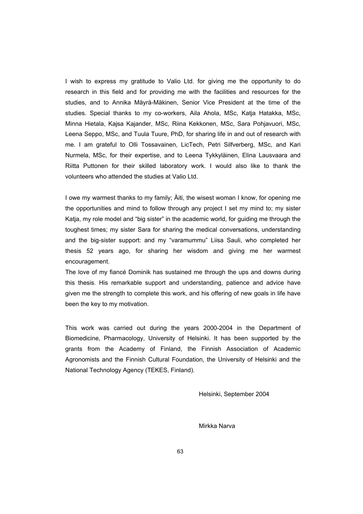I wish to express my gratitude to Valio Ltd. for giving me the opportunity to do research in this field and for providing me with the facilities and resources for the studies, and to Annika Mäyrä-Mäkinen, Senior Vice President at the time of the studies. Special thanks to my co-workers, Aila Ahola, MSc, Katja Hatakka, MSc, Minna Hietala, Kajsa Kajander, MSc, Riina Kekkonen, MSc, Sara Pohjavuori, MSc, Leena Seppo, MSc, and Tuula Tuure, PhD, for sharing life in and out of research with me. I am grateful to Olli Tossavainen, LicTech, Petri Silfverberg, MSc, and Kari Nurmela, MSc, for their expertise, and to Leena Tykkyläinen, Elina Lausvaara and Riitta Puttonen for their skilled laboratory work. I would also like to thank the volunteers who attended the studies at Valio Ltd.

I owe my warmest thanks to my family; Äiti, the wisest woman I know, for opening me the opportunities and mind to follow through any project I set my mind to; my sister Katja, my role model and "big sister" in the academic world, for guiding me through the toughest times; my sister Sara for sharing the medical conversations, understanding and the big-sister support: and my "varamummu" Liisa Sauli, who completed her thesis 52 years ago, for sharing her wisdom and giving me her warmest encouragement.

The love of my fiancé Dominik has sustained me through the ups and downs during this thesis. His remarkable support and understanding, patience and advice have given me the strength to complete this work, and his offering of new goals in life have been the key to my motivation.

This work was carried out during the years 2000-2004 in the Department of Biomedicine, Pharmacology, University of Helsinki. It has been supported by the grants from the Academy of Finland, the Finnish Association of Academic Agronomists and the Finnish Cultural Foundation, the University of Helsinki and the National Technology Agency (TEKES, Finland).

Helsinki, September 2004

Mirkka Narva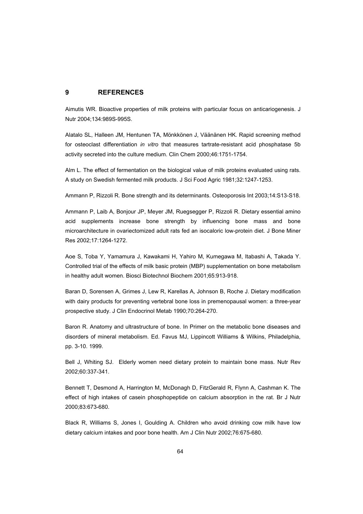# **9 REFERENCES**

Aimutis WR. Bioactive properties of milk proteins with particular focus on anticariogenesis. J Nutr 2004;134:989S-995S.

Alatalo SL, Halleen JM, Hentunen TA, Mönkkönen J, Väänänen HK. Rapid screening method for osteoclast differentiation *in vitro* that measures tartrate-resistant acid phosphatase 5b activity secreted into the culture medium. Clin Chem 2000;46:1751-1754.

Alm L. The effect of fermentation on the biological value of milk proteins evaluated using rats. A study on Swedish fermented milk products. J Sci Food Agric 1981;32:1247-1253.

Ammann P, Rizzoli R. Bone strength and its determinants. Osteoporosis Int 2003;14:S13-S18.

Ammann P, Laib A, Bonjour JP, Meyer JM, Ruegsegger P, Rizzoli R. Dietary essential amino acid supplements increase bone strength by influencing bone mass and bone microarchitecture in ovariectomized adult rats fed an isocaloric low-protein diet. J Bone Miner Res 2002;17:1264-1272.

Aoe S, Toba Y, Yamamura J, Kawakami H, Yahiro M, Kumegawa M, Itabashi A, Takada Y. Controlled trial of the effects of milk basic protein (MBP) supplementation on bone metabolism in healthy adult women. Biosci Biotechnol Biochem 2001;65:913-918.

Baran D, Sorensen A, Grimes J, Lew R, Karellas A, Johnson B, Roche J. Dietary modification with dairy products for preventing vertebral bone loss in premenopausal women: a three-year prospective study. J Clin Endocrinol Metab 1990;70:264-270.

Baron R. Anatomy and ultrastructure of bone. In Primer on the metabolic bone diseases and disorders of mineral metabolism. Ed. Favus MJ, Lippincott Williams & Wilkins, Philadelphia, pp. 3-10. 1999.

Bell J, Whiting SJ. Elderly women need dietary protein to maintain bone mass. Nutr Rev 2002;60:337-341.

Bennett T, Desmond A, Harrington M, McDonagh D, FitzGerald R, Flynn A, Cashman K. The effect of high intakes of casein phosphopeptide on calcium absorption in the rat. Br J Nutr 2000;83:673-680.

Black R, Williams S, Jones I, Goulding A. Children who avoid drinking cow milk have low dietary calcium intakes and poor bone health. Am J Clin Nutr 2002;76:675-680.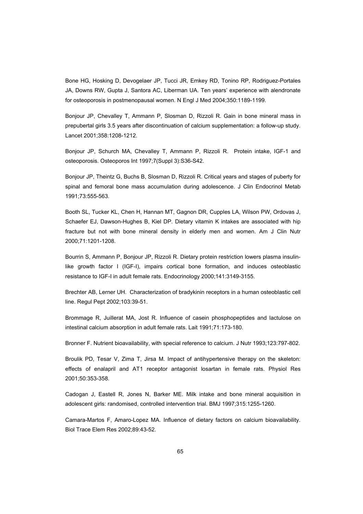Bone HG, Hosking D, Devogelaer JP, Tucci JR, Emkey RD, Tonino RP, Rodriguez-Portales JA, Downs RW, Gupta J, Santora AC, Liberman UA. Ten years' experience with alendronate for osteoporosis in postmenopausal women. N Engl J Med 2004;350:1189-1199.

Bonjour JP, Chevalley T, Ammann P, Slosman D, Rizzoli R. Gain in bone mineral mass in prepubertal girls 3.5 years after discontinuation of calcium supplementation: a follow-up study. Lancet 2001;358:1208-1212.

Bonjour JP, Schurch MA, Chevalley T, Ammann P, Rizzoli R. Protein intake, IGF-1 and osteoporosis. Osteoporos Int 1997;7(Suppl 3):S36-S42.

Bonjour JP, Theintz G, Buchs B, Slosman D, Rizzoli R. Critical years and stages of puberty for spinal and femoral bone mass accumulation during adolescence. J Clin Endocrinol Metab 1991;73:555-563.

Booth SL, Tucker KL, Chen H, Hannan MT, Gagnon DR, Cupples LA, Wilson PW, Ordovas J, Schaefer EJ, Dawson-Hughes B, Kiel DP. Dietary vitamin K intakes are associated with hip fracture but not with bone mineral density in elderly men and women. Am J Clin Nutr 2000;71:1201-1208.

Bourrin S, Ammann P, Bonjour JP, Rizzoli R. Dietary protein restriction lowers plasma insulinlike growth factor I (IGF-I), impairs cortical bone formation, and induces osteoblastic resistance to IGF-I in adult female rats. Endocrinology 2000;141:3149-3155.

Brechter AB, Lerner UH. Characterization of bradykinin receptors in a human osteoblastic cell line. Regul Pept 2002;103:39-51.

Brommage R, Juillerat MA, Jost R. Influence of casein phosphopeptides and lactulose on intestinal calcium absorption in adult female rats. Lait 1991;71:173-180.

Bronner F. Nutrient bioavailability, with special reference to calcium. J Nutr 1993;123:797-802.

Broulik PD, Tesar V, Zima T, Jirsa M. Impact of antihypertensive therapy on the skeleton: effects of enalapril and AT1 receptor antagonist losartan in female rats. Physiol Res 2001;50:353-358.

Cadogan J, Eastell R, Jones N, Barker ME. Milk intake and bone mineral acquisition in adolescent girls: randomised, controlled intervention trial. BMJ 1997;315:1255-1260.

Camara-Martos F, Amaro-Lopez MA. Influence of dietary factors on calcium bioavailability. Biol Trace Elem Res 2002;89:43-52.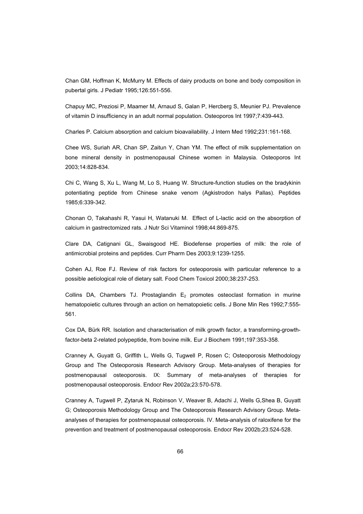Chan GM, Hoffman K, McMurry M. Effects of dairy products on bone and body composition in pubertal girls. J Pediatr 1995;126:551-556.

Chapuy MC, Preziosi P, Maamer M, Arnaud S, Galan P, Hercberg S, Meunier PJ. Prevalence of vitamin D insufficiency in an adult normal population. Osteoporos Int 1997;7:439-443.

Charles P. Calcium absorption and calcium bioavailability. J Intern Med 1992;231:161-168.

Chee WS, Suriah AR, Chan SP, Zaitun Y, Chan YM. The effect of milk supplementation on bone mineral density in postmenopausal Chinese women in Malaysia. Osteoporos Int 2003;14:828-834.

Chi C, Wang S, Xu L, Wang M, Lo S, Huang W. Structure-function studies on the bradykinin potentiating peptide from Chinese snake venom (Agkistrodon halys Pallas). Peptides 1985;6:339-342.

Chonan O, Takahashi R, Yasui H, Watanuki M. Effect of L-lactic acid on the absorption of calcium in gastrectomized rats. J Nutr Sci Vitaminol 1998;44:869-875.

Clare DA, Catignani GL, Swaisgood HE. Biodefense properties of milk: the role of antimicrobial proteins and peptides. Curr Pharm Des 2003;9:1239-1255.

Cohen AJ, Roe FJ. Review of risk factors for osteoporosis with particular reference to a possible aetiological role of dietary salt. Food Chem Toxicol 2000;38:237-253.

Collins DA, Chambers TJ. Prostaglandin  $E_2$  promotes osteoclast formation in murine hematopoietic cultures through an action on hematopoietic cells. J Bone Min Res 1992;7:555- 561.

Cox DA, Bürk RR. Isolation and characterisation of milk growth factor, a transforming-growthfactor-beta 2-related polypeptide, from bovine milk. Eur J Biochem 1991;197:353-358.

Cranney A, Guyatt G, Griffith L, Wells G, Tugwell P, Rosen C; Osteoporosis Methodology Group and The Osteoporosis Research Advisory Group. Meta-analyses of therapies for postmenopausal osteoporosis. IX: Summary of meta-analyses of therapies for postmenopausal osteoporosis. Endocr Rev 2002a;23:570-578.

Cranney A, Tugwell P, Zytaruk N, Robinson V, Weaver B, Adachi J, Wells G,Shea B, Guyatt G; Osteoporosis Methodology Group and The Osteoporosis Research Advisory Group. Metaanalyses of therapies for postmenopausal osteoporosis. IV. Meta-analysis of raloxifene for the prevention and treatment of postmenopausal osteoporosis. Endocr Rev 2002b;23:524-528.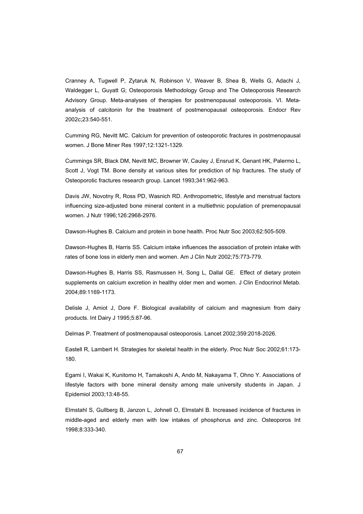Cranney A, Tugwell P, Zytaruk N, Robinson V, Weaver B, Shea B, Wells G, Adachi J, Waldegger L, Guyatt G; Osteoporosis Methodology Group and The Osteoporosis Research Advisory Group. Meta-analyses of therapies for postmenopausal osteoporosis. VI. Metaanalysis of calcitonin for the treatment of postmenopausal osteoporosis. Endocr Rev 2002c;23:540-551.

Cumming RG, Nevitt MC. Calcium for prevention of osteoporotic fractures in postmenopausal women. J Bone Miner Res 1997;12:1321-1329.

Cummings SR, Black DM, Nevitt MC, Browner W, Cauley J, Ensrud K, Genant HK, Palermo L, Scott J, Vogt TM. Bone density at various sites for prediction of hip fractures. The study of Osteoporotic fractures research group. Lancet 1993;341:962-963.

Davis JW, Novotny R, Ross PD, Wasnich RD. Anthropometric, lifestyle and menstrual factors influencing size-adjusted bone mineral content in a multiethnic population of premenopausal women. J Nutr 1996;126:2968-2976.

Dawson-Hughes B. Calcium and protein in bone health. Proc Nutr Soc 2003;62:505-509.

Dawson-Hughes B, Harris SS. Calcium intake influences the association of protein intake with rates of bone loss in elderly men and women. Am J Clin Nutr 2002;75:773-779.

Dawson-Hughes B, Harris SS, Rasmussen H, Song L, Dallal GE. Effect of dietary protein supplements on calcium excretion in healthy older men and women. J Clin Endocrinol Metab. 2004;89:1169-1173.

Delisle J, Amiot J, Dore F. Biological availability of calcium and magnesium from dairy products. Int Dairy J 1995;5:87-96.

Delmas P. Treatment of postmenopausal osteoporosis. Lancet 2002;359:2018-2026.

Eastell R, Lambert H. Strategies for skeletal health in the elderly. Proc Nutr Soc 2002;61:173- 180.

Egami I, Wakai K, Kunitomo H, Tamakoshi A, Ando M, Nakayama T, Ohno Y. Associations of lifestyle factors with bone mineral density among male university students in Japan. J Epidemiol 2003;13:48-55.

Elmstahl S, Gullberg B, Janzon L, Johnell O, Elmstahl B. Increased incidence of fractures in middle-aged and elderly men with low intakes of phosphorus and zinc. Osteoporos Int 1998;8:333-340.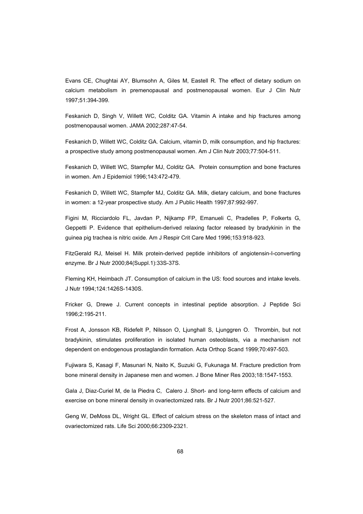Evans CE, Chughtai AY, Blumsohn A, Giles M, Eastell R. The effect of dietary sodium on calcium metabolism in premenopausal and postmenopausal women. Eur J Clin Nutr 1997;51:394-399.

Feskanich D, Singh V, Willett WC, Colditz GA. Vitamin A intake and hip fractures among postmenopausal women. JAMA 2002;287:47-54.

Feskanich D, Willett WC, Colditz GA. Calcium, vitamin D, milk consumption, and hip fractures: a prospective study among postmenopausal women. Am J Clin Nutr 2003;77:504-511.

Feskanich D, Willett WC, Stampfer MJ, Colditz GA. Protein consumption and bone fractures in women. Am J Epidemiol 1996;143:472-479.

Feskanich D, Willett WC, Stampfer MJ, Colditz GA. Milk, dietary calcium, and bone fractures in women: a 12-year prospective study. Am J Public Health 1997;87:992-997.

Figini M, Ricciardolo FL, Javdan P, Nijkamp FP, Emanueli C, Pradelles P, Folkerts G, Geppetti P. Evidence that epithelium-derived relaxing factor released by bradykinin in the guinea pig trachea is nitric oxide. Am J Respir Crit Care Med 1996;153:918-923.

FitzGerald RJ, Meisel H. Milk protein-derived peptide inhibitors of angiotensin-I-converting enzyme. Br J Nutr 2000;84(Suppl.1):33S-37S.

Fleming KH, Heimbach JT. Consumption of calcium in the US: food sources and intake levels. J Nutr 1994;124:1426S-1430S.

Fricker G, Drewe J. Current concepts in intestinal peptide absorption. J Peptide Sci 1996;2:195-211.

Frost A, Jonsson KB, Ridefelt P, Nilsson O, Ljunghall S, Ljunggren O. Thrombin, but not bradykinin, stimulates proliferation in isolated human osteoblasts, via a mechanism not dependent on endogenous prostaglandin formation. Acta Orthop Scand 1999;70:497-503.

Fujiwara S, Kasagi F, Masunari N, Naito K, Suzuki G, Fukunaga M. Fracture prediction from bone mineral density in Japanese men and women. J Bone Miner Res 2003;18:1547-1553.

Gala J, Diaz-Curiel M, de la Piedra C, Calero J. Short- and long-term effects of calcium and exercise on bone mineral density in ovariectomized rats. Br J Nutr 2001;86:521-527.

Geng W, DeMoss DL, Wright GL. Effect of calcium stress on the skeleton mass of intact and ovariectomized rats. Life Sci 2000;66:2309-2321.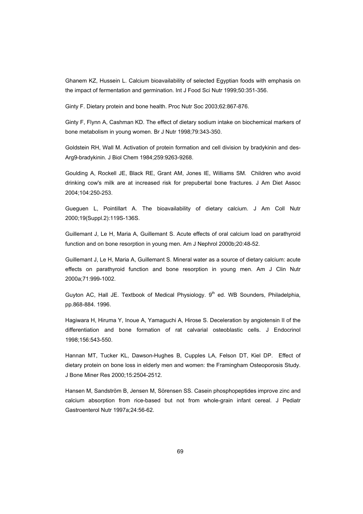Ghanem KZ, Hussein L. Calcium bioavailability of selected Egyptian foods with emphasis on the impact of fermentation and germination. Int J Food Sci Nutr 1999;50:351-356.

Ginty F. Dietary protein and bone health. Proc Nutr Soc 2003;62:867-876.

Ginty F, Flynn A, Cashman KD. The effect of dietary sodium intake on biochemical markers of bone metabolism in young women. Br J Nutr 1998;79:343-350.

Goldstein RH, Wall M. Activation of protein formation and cell division by bradykinin and des-Arg9-bradykinin. J Biol Chem 1984;259:9263-9268.

Goulding A, Rockell JE, Black RE, Grant AM, Jones IE, Williams SM. Children who avoid drinking cow's milk are at increased risk for prepubertal bone fractures. J Am Diet Assoc 2004;104:250-253.

Gueguen L, Pointillart A. The bioavailability of dietary calcium. J Am Coll Nutr 2000;19(Suppl.2):119S-136S.

Guillemant J, Le H, Maria A, Guillemant S. Acute effects of oral calcium load on parathyroid function and on bone resorption in young men. Am J Nephrol 2000b;20:48-52.

Guillemant J, Le H, Maria A, Guillemant S. Mineral water as a source of dietary calcium: acute effects on parathyroid function and bone resorption in young men. Am J Clin Nutr 2000a;71:999-1002.

Guyton AC, Hall JE. Textbook of Medical Physiology.  $9<sup>th</sup>$  ed. WB Sounders, Philadelphia, pp.868-884. 1996.

Hagiwara H, Hiruma Y, Inoue A, Yamaguchi A, Hirose S. Deceleration by angiotensin II of the differentiation and bone formation of rat calvarial osteoblastic cells. J Endocrinol 1998;156:543-550.

Hannan MT, Tucker KL, Dawson-Hughes B, Cupples LA, Felson DT, Kiel DP. Effect of dietary protein on bone loss in elderly men and women: the Framingham Osteoporosis Study. J Bone Miner Res 2000;15:2504-2512.

Hansen M, Sandström B, Jensen M, Sörensen SS. Casein phosphopeptides improve zinc and calcium absorption from rice-based but not from whole-grain infant cereal. J Pediatr Gastroenterol Nutr 1997a;24:56-62.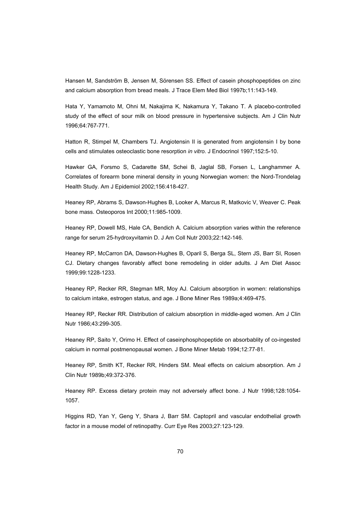Hansen M, Sandström B, Jensen M, Sörensen SS. Effect of casein phosphopeptides on zinc and calcium absorption from bread meals. J Trace Elem Med Biol 1997b;11:143-149.

Hata Y, Yamamoto M, Ohni M, Nakajima K, Nakamura Y, Takano T. A placebo-controlled study of the effect of sour milk on blood pressure in hypertensive subjects. Am J Clin Nutr 1996;64:767-771.

Hatton R, Stimpel M, Chambers TJ. Angiotensin II is generated from angiotensin I by bone cells and stimulates osteoclastic bone resorption *in vitro*. J Endocrinol 1997;152:5-10.

Hawker GA, Forsmo S, Cadarette SM, Schei B, Jaglal SB, Forsen L, Langhammer A. Correlates of forearm bone mineral density in young Norwegian women: the Nord-Trondelag Health Study. Am J Epidemiol 2002;156:418-427.

Heaney RP, Abrams S, Dawson-Hughes B, Looker A, Marcus R, Matkovic V, Weaver C. Peak bone mass. Osteoporos Int 2000;11:985-1009.

Heaney RP, Dowell MS, Hale CA, Bendich A. Calcium absorption varies within the reference range for serum 25-hydroxyvitamin D. J Am Coll Nutr 2003;22:142-146.

Heaney RP, McCarron DA, Dawson-Hughes B, Oparil S, Berga SL, Stern JS, Barr SI, Rosen CJ. Dietary changes favorably affect bone remodeling in older adults. J Am Diet Assoc 1999;99:1228-1233.

Heaney RP, Recker RR, Stegman MR, Moy AJ. Calcium absorption in women: relationships to calcium intake, estrogen status, and age. J Bone Miner Res 1989a;4:469-475.

Heaney RP, Recker RR. Distribution of calcium absorption in middle-aged women. Am J Clin Nutr 1986;43:299-305.

Heaney RP, Saito Y, Orimo H. Effect of caseinphosphopeptide on absorbablity of co-ingested calcium in normal postmenopausal women. J Bone Miner Metab 1994;12:77-81.

Heaney RP, Smith KT, Recker RR, Hinders SM. Meal effects on calcium absorption. Am J Clin Nutr 1989b;49:372-376.

Heaney RP. Excess dietary protein may not adversely affect bone. J Nutr 1998;128:1054- 1057.

Higgins RD, Yan Y, Geng Y, Shara J, Barr SM. Captopril and vascular endothelial growth factor in a mouse model of retinopathy. Curr Eye Res 2003;27:123-129.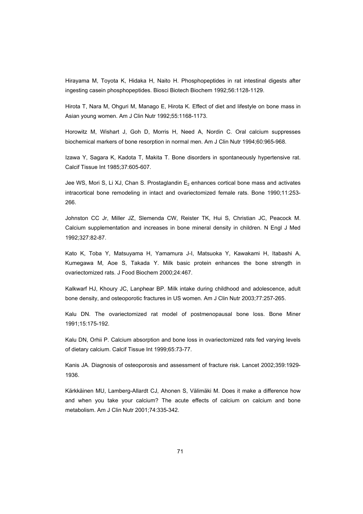Hirayama M, Toyota K, Hidaka H, Naito H. Phosphopeptides in rat intestinal digests after ingesting casein phosphopeptides. Biosci Biotech Biochem 1992;56:1128-1129.

Hirota T, Nara M, Ohguri M, Manago E, Hirota K. Effect of diet and lifestyle on bone mass in Asian young women. Am J Clin Nutr 1992;55:1168-1173.

Horowitz M, Wishart J, Goh D, Morris H, Need A, Nordin C. Oral calcium suppresses biochemical markers of bone resorption in normal men. Am J Clin Nutr 1994;60:965-968.

Izawa Y, Sagara K, Kadota T, Makita T. Bone disorders in spontaneously hypertensive rat. Calcif Tissue Int 1985;37:605-607.

Jee WS, Mori S, Li XJ, Chan S. Prostaglandin  $E_2$  enhances cortical bone mass and activates intracortical bone remodeling in intact and ovariectomized female rats. Bone 1990;11:253- 266.

Johnston CC Jr, Miller JZ, Slemenda CW, Reister TK, Hui S, Christian JC, Peacock M. Calcium supplementation and increases in bone mineral density in children. N Engl J Med 1992;327:82-87.

Kato K, Toba Y, Matsuyama H, Yamamura J-I, Matsuoka Y, Kawakami H, Itabashi A, Kumegawa M, Aoe S, Takada Y. Milk basic protein enhances the bone strength in ovariectomized rats. J Food Biochem 2000;24:467.

Kalkwarf HJ, Khoury JC, Lanphear BP. Milk intake during childhood and adolescence, adult bone density, and osteoporotic fractures in US women. Am J Clin Nutr 2003;77:257-265.

Kalu DN. The ovariectomized rat model of postmenopausal bone loss. Bone Miner 1991;15:175-192.

Kalu DN, Orhii P. Calcium absorption and bone loss in ovariectomized rats fed varying levels of dietary calcium. Calcif Tissue Int 1999;65:73-77.

Kanis JA. Diagnosis of osteoporosis and assessment of fracture risk. Lancet 2002;359:1929- 1936.

Kärkkäinen MU, Lamberg-Allardt CJ, Ahonen S, Välimäki M. Does it make a difference how and when you take your calcium? The acute effects of calcium on calcium and bone metabolism. Am J Clin Nutr 2001;74:335-342.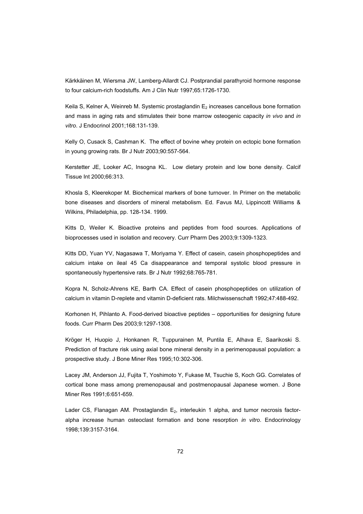Kärkkäinen M, Wiersma JW, Lamberg-Allardt CJ. Postprandial parathyroid hormone response to four calcium-rich foodstuffs. Am J Clin Nutr 1997;65:1726-1730.

Keila S, Kelner A, Weinreb M. Systemic prostaglandin  $E_2$  increases cancellous bone formation and mass in aging rats and stimulates their bone marrow osteogenic capacity *in vivo* and *in vitro*. J Endocrinol 2001;168:131-139.

Kelly O, Cusack S, Cashman K. The effect of bovine whey protein on ectopic bone formation in young growing rats. Br J Nutr 2003;90:557-564.

Kerstetter JE, Looker AC, Insogna KL. Low dietary protein and low bone density. Calcif Tissue Int 2000;66:313.

Khosla S, Kleerekoper M. Biochemical markers of bone turnover. In Primer on the metabolic bone diseases and disorders of mineral metabolism. Ed. Favus MJ, Lippincott Williams & Wilkins, Philadelphia, pp. 128-134. 1999.

Kitts D, Weiler K. Bioactive proteins and peptides from food sources. Applications of bioprocesses used in isolation and recovery. Curr Pharm Des 2003;9:1309-1323.

Kitts DD, Yuan YV, Nagasawa T, Moriyama Y. Effect of casein, casein phosphopeptides and calcium intake on ileal 45 Ca disappearance and temporal systolic blood pressure in spontaneously hypertensive rats. Br J Nutr 1992;68:765-781.

Kopra N, Scholz-Ahrens KE, Barth CA. Effect of casein phosphopeptides on utilization of calcium in vitamin D-replete and vitamin D-deficient rats. Milchwissenschaft 1992;47:488-492.

Korhonen H, Pihlanto A. Food-derived bioactive peptides – opportunities for designing future foods. Curr Pharm Des 2003;9:1297-1308.

Kröger H, Huopio J, Honkanen R, Tuppurainen M, Puntila E, Alhava E, Saarikoski S. Prediction of fracture risk using axial bone mineral density in a perimenopausal population: a prospective study. J Bone Miner Res 1995;10:302-306.

Lacey JM, Anderson JJ, Fujita T, Yoshimoto Y, Fukase M, Tsuchie S, Koch GG. Correlates of cortical bone mass among premenopausal and postmenopausal Japanese women. J Bone Miner Res 1991;6:651-659.

Lader CS, Flanagan AM. Prostaglandin  $E_2$ , interleukin 1 alpha, and tumor necrosis factoralpha increase human osteoclast formation and bone resorption *in vitro*. Endocrinology 1998;139:3157-3164.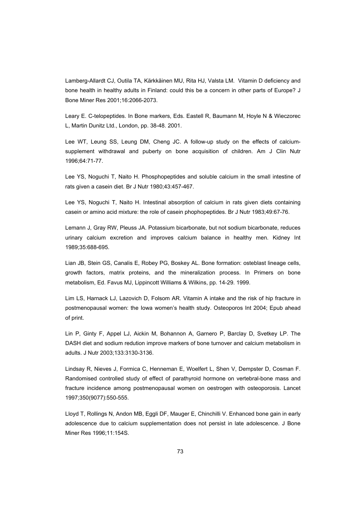Lamberg-Allardt CJ, Outila TA, Kärkkäinen MU, Rita HJ, Valsta LM. Vitamin D deficiency and bone health in healthy adults in Finland: could this be a concern in other parts of Europe? J Bone Miner Res 2001;16:2066-2073.

Leary E. C-telopeptides. In Bone markers, Eds. Eastell R, Baumann M, Hoyle N & Wieczorec L, Martin Dunitz Ltd., London, pp. 38-48. 2001.

Lee WT, Leung SS, Leung DM, Cheng JC. A follow-up study on the effects of calciumsupplement withdrawal and puberty on bone acquisition of children. Am J Clin Nutr 1996;64:71-77.

Lee YS, Noguchi T, Naito H. Phosphopeptides and soluble calcium in the small intestine of rats given a casein diet. Br J Nutr 1980;43:457-467.

Lee YS, Noguchi T, Naito H. Intestinal absorption of calcium in rats given diets containing casein or amino acid mixture: the role of casein phophopeptides. Br J Nutr 1983;49:67-76.

Lemann J, Gray RW, Pleuss JA. Potassium bicarbonate, but not sodium bicarbonate, reduces urinary calcium excretion and improves calcium balance in healthy men. Kidney Int 1989;35:688-695.

Lian JB, Stein GS, Canalis E, Robey PG, Boskey AL. Bone formation: osteblast lineage cells, growth factors, matrix proteins, and the mineralization process. In Primers on bone metabolism, Ed. Favus MJ, Lippincott Williams & Wilkins, pp. 14-29. 1999.

Lim LS, Harnack LJ, Lazovich D, Folsom AR. Vitamin A intake and the risk of hip fracture in postmenopausal women: the Iowa women's health study. Osteoporos Int 2004; Epub ahead of print.

Lin P, Ginty F, Appel LJ, Aickin M, Bohannon A, Garnero P, Barclay D, Svetkey LP. The DASH diet and sodium redution improve markers of bone turnover and calcium metabolism in adults. J Nutr 2003;133:3130-3136.

Lindsay R, Nieves J, Formica C, Henneman E, Woelfert L, Shen V, Dempster D, Cosman F. Randomised controlled study of effect of parathyroid hormone on vertebral-bone mass and fracture incidence among postmenopausal women on oestrogen with osteoporosis. Lancet 1997;350(9077):550-555.

Lloyd T, Rollings N, Andon MB, Eggli DF, Mauger E, Chinchilli V. Enhanced bone gain in early adolescence due to calcium supplementation does not persist in late adolescence. J Bone Miner Res 1996;11:154S.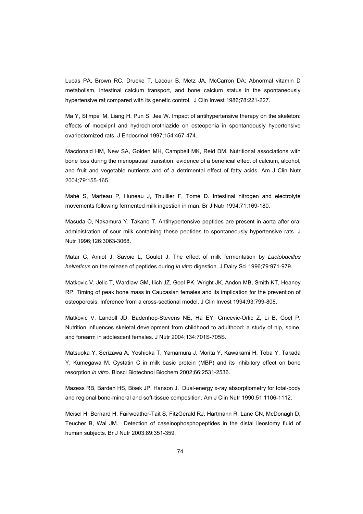Lucas PA, Brown RC, Drueke T, Lacour B, Metz JA, McCarron DA: Abnormal vitamin D metabolism, intestinal calcium transport, and bone calcium status in the spontaneously hypertensive rat compared with its genetic control. J Clin Invest 1986;78:221-227.

Ma Y, Stimpel M, Liang H, Pun S, Jee W. Impact of antihypertensive therapy on the skeleton: effects of moexipril and hydrochlorothiazide on osteopenia in spontaneously hypertensive ovariectomized rats. J Endocrinol 1997;154:467-474.

Macdonald HM, New SA, Golden MH, Campbell MK, Reid DM. Nutritional associations with bone loss during the menopausal transition: evidence of a beneficial effect of calcium, alcohol, and fruit and vegetable nutrients and of a detrimental effect of fatty acids. Am J Clin Nutr 2004;79:155-165.

Mahé S, Marteau P, Huneau J, Thuillier F, Tomé D. Intestinal nitrogen and electrolyte movements following fermented milk ingestion in man. Br J Nutr 1994;71:169-180.

Masuda O, Nakamura Y, Takano T. Antihypertensive peptides are present in aorta after oral administration of sour milk containing these peptides to spontaneously hypertensive rats. J Nutr 1996;126:3063-3068.

Matar C, Amiot J, Savoie L, Goulet J. The effect of milk fermentation by *Lactobacillus helveticus* on the release of peptides during *in vitro* digestion. J Dairy Sci 1996;79:971-979.

Matkovic V, Jelic T, Wardlaw GM, Ilich JZ, Goel PK, Wright JK, Andon MB, Smith KT, Heaney RP. Timing of peak bone mass in Caucasian females and its implication for the prevention of osteoporosis. Inference from a cross-sectional model. J Clin Invest 1994;93:799-808.

Matkovic V, Landoll JD, Badenhop-Stevens NE, Ha EY, Crncevic-Orlic Z, Li B, Goel P. Nutrition influences skeletal development from childhood to adulthood: a study of hip, spine, and forearm in adolescent females. J Nutr 2004;134:701S-705S.

Matsuoka Y, Serizawa A, Yoshioka T, Yamamura J, Morita Y, Kawakami H, Toba Y, Takada Y, Kumegawa M. Cystatin C in milk basic protein (MBP) and its inhibitory effect on bone resorption *in vitro*. Biosci Biotechnol Biochem 2002;66:2531-2536.

Mazess RB, Barden HS, Bisek JP, Hanson J. Dual-energy x-ray absorptiometry for total-body and regional bone-mineral and soft-tissue composition. Am J Clin Nutr 1990;51:1106-1112.

Meisel H, Bernard H, Fairweather-Tait S, FitzGerald RJ, Hartmann R, Lane CN, McDonagh D, Teucher B, Wal JM. Detection of caseinophosphopeptides in the distal ileostomy fluid of human subjects. Br J Nutr 2003;89:351-359.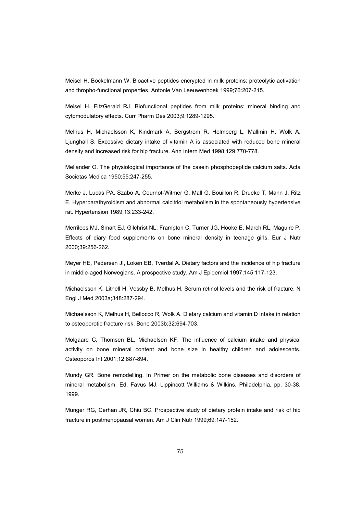Meisel H, Bockelmann W. Bioactive peptides encrypted in milk proteins: proteolytic activation and thropho-functional properties. Antonie Van Leeuwenhoek 1999;76:207-215.

Meisel H, FitzGerald RJ. Biofunctional peptides from milk proteins: mineral binding and cytomodulatory effects. Curr Pharm Des 2003;9:1289-1295.

Melhus H, Michaelsson K, Kindmark A, Bergstrom R, Holmberg L, Mallmin H, Wolk A, Ljunghall S. Excessive dietary intake of vitamin A is associated with reduced bone mineral density and increased risk for hip fracture. Ann Intern Med 1998;129:770-778.

Mellander O. The physiological importance of the casein phosphopeptide calcium salts. Acta Societas Medica 1950;55:247-255.

Merke J, Lucas PA, Szabo A, Cournot-Witmer G, Mall G, Bouillon R, Drueke T, Mann J, Ritz E. Hyperparathyroidism and abnormal calcitriol metabolism in the spontaneously hypertensive rat. Hypertension 1989;13:233-242.

Merrilees MJ, Smart EJ, Gilchrist NL, Frampton C, Turner JG, Hooke E, March RL, Maguire P. Effects of diary food supplements on bone mineral density in teenage girls. Eur J Nutr 2000;39:256-262.

Meyer HE, Pedersen JI, Loken EB, Tverdal A. Dietary factors and the incidence of hip fracture in middle-aged Norwegians. A prospective study. Am J Epidemiol 1997;145:117-123.

Michaelsson K, Lithell H, Vessby B, Melhus H. Serum retinol levels and the risk of fracture. N Engl J Med 2003a;348:287-294.

Michaelsson K, Melhus H, Bellocco R, Wolk A. Dietary calcium and vitamin D intake in relation to osteoporotic fracture risk. Bone 2003b;32:694-703.

Molgaard C, Thomsen BL, Michaelsen KF. The influence of calcium intake and physical activity on bone mineral content and bone size in healthy children and adolescents. Osteoporos Int 2001;12:887-894.

Mundy GR. Bone remodelling. In Primer on the metabolic bone diseases and disorders of mineral metabolism. Ed. Favus MJ, Lippincott Williams & Wilkins, Philadelphia, pp. 30-38. 1999.

Munger RG, Cerhan JR, Chiu BC. Prospective study of dietary protein intake and risk of hip fracture in postmenopausal women. Am J Clin Nutr 1999;69:147-152.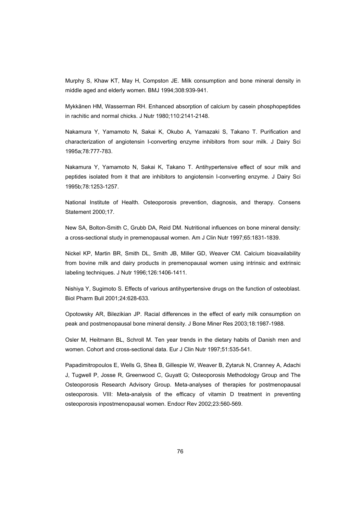Murphy S, Khaw KT, May H, Compston JE. Milk consumption and bone mineral density in middle aged and elderly women. BMJ 1994;308:939-941.

Mykkänen HM, Wasserman RH. Enhanced absorption of calcium by casein phosphopeptides in rachitic and normal chicks. J Nutr 1980;110:2141-2148.

Nakamura Y, Yamamoto N, Sakai K, Okubo A, Yamazaki S, Takano T. Purification and characterization of angiotensin I-converting enzyme inhibitors from sour milk. J Dairy Sci 1995a;78:777-783.

Nakamura Y, Yamamoto N, Sakai K, Takano T. Antihypertensive effect of sour milk and peptides isolated from it that are inhibitors to angiotensin I-converting enzyme. J Dairy Sci 1995b;78:1253-1257.

National Institute of Health. Osteoporosis prevention, diagnosis, and therapy. Consens Statement 2000;17.

New SA, Bolton-Smith C, Grubb DA, Reid DM. Nutritional influences on bone mineral density: a cross-sectional study in premenopausal women. Am J Clin Nutr 1997;65:1831-1839.

Nickel KP, Martin BR, Smith DL, Smith JB, Miller GD, Weaver CM. Calcium bioavailability from bovine milk and dairy products in premenopausal women using intrinsic and extrinsic labeling techniques. J Nutr 1996;126:1406-1411.

Nishiya Y, Sugimoto S. Effects of various antihypertensive drugs on the function of osteoblast. Biol Pharm Bull 2001;24:628-633.

Opotowsky AR, Bilezikian JP. Racial differences in the effect of early milk consumption on peak and postmenopausal bone mineral density. J Bone Miner Res 2003;18:1987-1988.

Osler M, Heitmann BL, Schroll M. Ten year trends in the dietary habits of Danish men and women. Cohort and cross-sectional data. Eur J Clin Nutr 1997;51:535-541.

Papadimitropoulos E, Wells G, Shea B, Gillespie W, Weaver B, Zytaruk N, Cranney A, Adachi J, Tugwell P, Josse R, Greenwood C, Guyatt G; Osteoporosis Methodology Group and The Osteoporosis Research Advisory Group. Meta-analyses of therapies for postmenopausal osteoporosis. VIII: Meta-analysis of the efficacy of vitamin D treatment in preventing osteoporosis inpostmenopausal women. Endocr Rev 2002;23:560-569.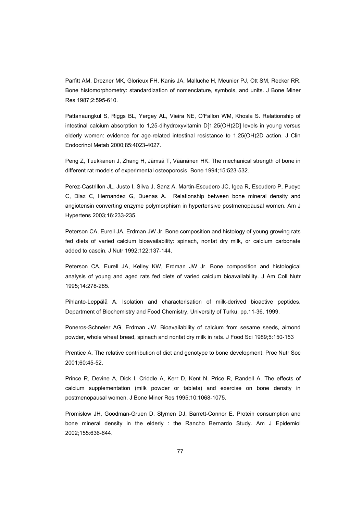Parfitt AM, Drezner MK, Glorieux FH, Kanis JA, Malluche H, Meunier PJ, Ott SM, Recker RR. Bone histomorphometry: standardization of nomenclature, symbols, and units. J Bone Miner Res 1987;2:595-610.

Pattanaungkul S, Riggs BL, Yergey AL, Vieira NE, O'Fallon WM, Khosla S. Relationship of intestinal calcium absorption to 1,25-dihydroxyvitamin D[1,25(OH)2D] levels in young versus elderly women: evidence for age-related intestinal resistance to 1,25(OH)2D action. J Clin Endocrinol Metab 2000;85:4023-4027.

Peng Z, Tuukkanen J, Zhang H, Jämsä T, Väänänen HK. The mechanical strength of bone in different rat models of experimental osteoporosis. Bone 1994;15:523-532.

Perez-Castrillon JL, Justo I, Silva J, Sanz A, Martin-Escudero JC, Igea R, Escudero P, Pueyo C, Diaz C, Hernandez G, Duenas A. Relationship between bone mineral density and angiotensin converting enzyme polymorphism in hypertensive postmenopausal women. Am J Hypertens 2003;16:233-235.

Peterson CA, Eurell JA, Erdman JW Jr. Bone composition and histology of young growing rats fed diets of varied calcium bioavailability: spinach, nonfat dry milk, or calcium carbonate added to casein. J Nutr 1992;122:137-144.

Peterson CA, Eurell JA, Kelley KW, Erdman JW Jr. Bone composition and histological analysis of young and aged rats fed diets of varied calcium bioavailability. J Am Coll Nutr 1995;14:278-285.

Pihlanto-Leppälä A. Isolation and characterisation of milk-derived bioactive peptides. Department of Biochemistry and Food Chemistry, University of Turku, pp.11-36. 1999.

Poneros-Schneler AG, Erdman JW. Bioavailability of calcium from sesame seeds, almond powder, whole wheat bread, spinach and nonfat dry milk in rats. J Food Sci 1989;5:150-153

Prentice A. The relative contribution of diet and genotype to bone development. Proc Nutr Soc 2001;60:45-52.

Prince R, Devine A, Dick I, Criddle A, Kerr D, Kent N, Price R, Randell A. The effects of calcium supplementation (milk powder or tablets) and exercise on bone density in postmenopausal women. J Bone Miner Res 1995;10:1068-1075.

Promislow JH, Goodman-Gruen D, Slymen DJ, Barrett-Connor E. Protein consumption and bone mineral density in the elderly : the Rancho Bernardo Study. Am J Epidemiol 2002;155:636-644.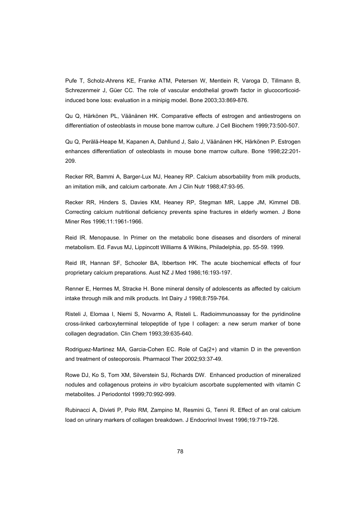Pufe T, Scholz-Ahrens KE, Franke ATM, Petersen W, Mentlein R, Varoga D, Tillmann B, Schrezenmeir J, Güer CC. The role of vascular endothelial growth factor in glucocorticoidinduced bone loss: evaluation in a minipig model. Bone 2003;33:869-876.

Qu Q, Härkönen PL, Väänänen HK. Comparative effects of estrogen and antiestrogens on differentiation of osteoblasts in mouse bone marrow culture. J Cell Biochem 1999;73:500-507.

Qu Q, Perälä-Heape M, Kapanen A, Dahllund J, Salo J, Väänänen HK, Härkönen P. Estrogen enhances differentiation of osteoblasts in mouse bone marrow culture. Bone 1998;22:201- 209.

Recker RR, Bammi A, Barger-Lux MJ, Heaney RP. Calcium absorbability from milk products, an imitation milk, and calcium carbonate. Am J Clin Nutr 1988;47:93-95.

Recker RR, Hinders S, Davies KM, Heaney RP, Stegman MR, Lappe JM, Kimmel DB. Correcting calcium nutritional deficiency prevents spine fractures in elderly women. J Bone Miner Res 1996;11:1961-1966.

Reid IR. Menopause. In Primer on the metabolic bone diseases and disorders of mineral metabolism. Ed. Favus MJ, Lippincott Williams & Wilkins, Philadelphia, pp. 55-59. 1999.

Reid IR, Hannan SF, Schooler BA, Ibbertson HK. The acute biochemical effects of four proprietary calcium preparations. Aust NZ J Med 1986;16:193-197.

Renner E, Hermes M, Stracke H. Bone mineral density of adolescents as affected by calcium intake through milk and milk products. Int Dairy J 1998;8:759-764.

Risteli J, Elomaa I, Niemi S, Novarmo A, Risteli L. Radioimmunoassay for the pyridinoline cross-linked carboxyterminal telopeptide of type I collagen: a new serum marker of bone collagen degradation. Clin Chem 1993;39:635-640.

Rodriguez-Martinez MA, Garcia-Cohen EC. Role of Ca(2+) and vitamin D in the prevention and treatment of osteoporosis. Pharmacol Ther 2002;93:37-49.

Rowe DJ, Ko S, Tom XM, Silverstein SJ, Richards DW. Enhanced production of mineralized nodules and collagenous proteins *in vitro* bycalcium ascorbate supplemented with vitamin C metabolites. J Periodontol 1999;70:992-999.

Rubinacci A, Divieti P, Polo RM, Zampino M, Resmini G, Tenni R. Effect of an oral calcium load on urinary markers of collagen breakdown. J Endocrinol Invest 1996;19:719-726.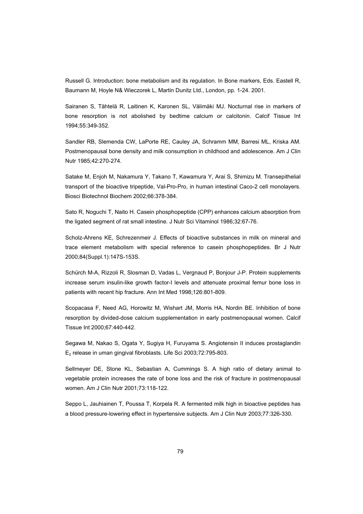Russell G. Introduction: bone metabolism and its regulation. In Bone markers, Eds. Eastell R, Baumann M, Hoyle N& Wieczorek L, Martin Dunitz Ltd., London, pp. 1-24. 2001.

Sairanen S, Tähtelä R, Laitinen K, Karonen SL, Välimäki MJ. Nocturnal rise in markers of bone resorption is not abolished by bedtime calcium or calcitonin. Calcif Tissue Int 1994;55:349-352.

Sandler RB, Slemenda CW, LaPorte RE, Cauley JA, Schramm MM, Barresi ML, Kriska AM. Postmenopausal bone density and milk consumption in childhood and adolescence. Am J Clin Nutr 1985;42:270-274.

Satake M, Enjoh M, Nakamura Y, Takano T, Kawamura Y, Arai S, Shimizu M. Transepithelial transport of the bioactive tripeptide, Val-Pro-Pro, in human intestinal Caco-2 cell monolayers. Biosci Biotechnol Biochem 2002;66:378-384.

Sato R, Noguchi T, Naito H. Casein phosphopeptide (CPP) enhances calcium absorption from the ligated segment of rat small intestine. J Nutr Sci Vitaminol 1986;32:67-76.

Scholz-Ahrens KE, Schrezenmeir J. Effects of bioactive substances in milk on mineral and trace element metabolism with special reference to casein phosphopeptides. Br J Nutr 2000;84(Suppl.1):147S-153S.

Schürch M-A, Rizzoli R, Slosman D, Vadas L, Vergnaud P, Bonjour J-P. Protein supplements increase serum insulin-like growth factor-I levels and attenuate proximal femur bone loss in patients with recent hip fracture. Ann Int Med 1998;126:801-809.

Scopacasa F, Need AG, Horowitz M, Wishart JM, Morris HA, Nordin BE. Inhibition of bone resorption by divided-dose calcium supplementation in early postmenopausal women. Calcif Tissue Int 2000;67:440-442.

Segawa M, Nakao S, Ogata Y, Sugiya H, Furuyama S. Angiotensin II induces prostaglandin  $E<sub>2</sub>$  release in uman gingival fibroblasts. Life Sci 2003;72:795-803.

Sellmeyer DE, Stone KL, Sebastian A, Cummings S. A high ratio of dietary animal to vegetable protein increases the rate of bone loss and the risk of fracture in postmenopausal women. Am J Clin Nutr 2001;73:118-122.

Seppo L, Jauhiainen T, Poussa T, Korpela R. A fermented milk high in bioactive peptides has a blood pressure-lowering effect in hypertensive subjects. Am J Clin Nutr 2003;77:326-330.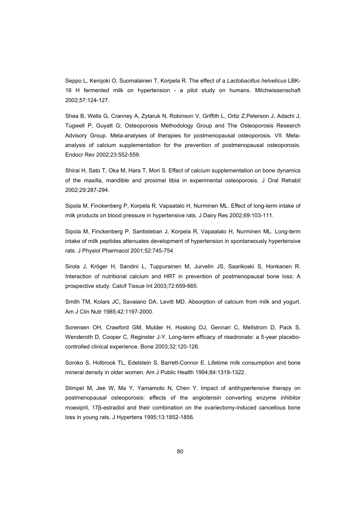Seppo L, Kerojoki O, Suomalainen T, Korpela R. The effect of a *Lactobacillus helveticus* LBK-16 H fermented milk on hypertension - a pilot study on humans. Milchwissenschaft 2002;57:124-127.

Shea B, Wells G, Cranney A, Zytaruk N, Robinson V, Griffith L, Ortiz Z,Peterson J, Adachi J, Tugwell P, Guyatt G; Osteoporosis Methodology Group and The Osteoporosis Research Advisory Group. Meta-analyses of therapies for postmenopausal osteoporosis. VII. Metaanalysis of calcium supplementation for the prevention of postmenopausal osteoporosis. Endocr Rev 2002;23:552-559.

Shirai H, Sato T, Oka M, Hara T, Mori S. Effect of calcium supplementation on bone dynamics of the maxilla, mandible and proximal tibia in experimental osteoporosis. J Oral Rehabil 2002;29:287-294.

Sipola M, Finckenberg P, Korpela R, Vapaatalo H, Nurminen ML. Effect of long-term intake of milk products on blood pressure in hypertensive rats. J Dairy Res 2002;69:103-111.

Sipola M, Finckenberg P, Santisteban J, Korpela R, Vapaatalo H, Nurminen ML. Long-term intake of milk peptides attenuates development of hypertension in spontaneously hypertensive rats. J Physiol Pharmacol 2001;52:745-754.

Sirola J, Kröger H, Sandini L, Tuppurainen M, Jurvelin JS, Saarikoski S, Honkanen R. Interaction of nutritional calcium and HRT in prevention of postmenopausal bone loss: A prospective study. Calcif Tissue Int 2003;72:659-665.

Smith TM, Kolars JC, Savaiano DA, Levitt MD. Absorption of calcium from milk and yogurt. Am J Clin Nutr 1985;42:1197-2000.

Sorensen OH, Crawford GM, Mulder H, Hosking DJ, Gennari C, Mellstrom D, Pack S, Wenderoth D, Cooper C, Reginster J-Y. Long-term efficacy of risedronate: a 5-year placebocontrolled clinical experience. Bone 2003;32:120-126.

Soroko S, Holbrook TL, Edelstein S, Barrett-Connor E. Lifetime milk consumption and bone mineral density in older women. Am J Public Health 1994;84:1319-1322.

Stimpel M, Jee W, Ma Y, Yamamoto N, Chen Y. Impact of antihypertensive therapy on postmenopausal osteoporosis: effects of the angiotensin converting enzyme inhibitor moexipril, 17ȕ-estradiol and their combination on the ovariectomy-induced cancellous bone loss in young rats. J Hypertens 1995;13:1852-1856.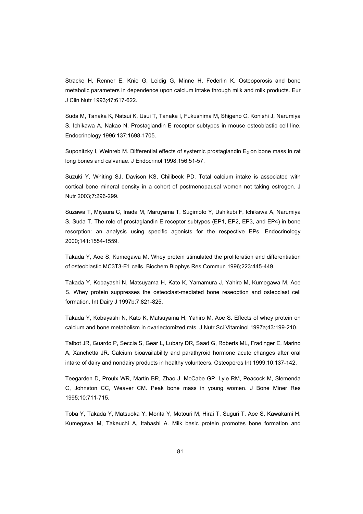Stracke H, Renner E, Knie G, Leidig G, Minne H, Federlin K. Osteoporosis and bone metabolic parameters in dependence upon calcium intake through milk and milk products. Eur J Clin Nutr 1993;47:617-622.

Suda M, Tanaka K, Natsui K, Usui T, Tanaka I, Fukushima M, Shigeno C, Konishi J, Narumiya S, Ichikawa A, Nakao N. Prostaglandin E receptor subtypes in mouse osteoblastic cell line. Endocrinology 1996;137:1698-1705.

Suponitzky I, Weinreb M. Differential effects of systemic prostaglandin  $E<sub>2</sub>$  on bone mass in rat long bones and calvariae. J Endocrinol 1998;156:51-57.

Suzuki Y, Whiting SJ, Davison KS, Chilibeck PD. Total calcium intake is associated with cortical bone mineral density in a cohort of postmenopausal women not taking estrogen. J Nutr 2003;7:296-299.

Suzawa T, Miyaura C, Inada M, Maruyama T, Sugimoto Y, Ushikubi F, Ichikawa A, Narumiya S, Suda T. The role of prostaglandin E receptor subtypes (EP1, EP2, EP3, and EP4) in bone resorption: an analysis using specific agonists for the respective EPs. Endocrinology 2000;141:1554-1559.

Takada Y, Aoe S, Kumegawa M. Whey protein stimulated the proliferation and differentiation of osteoblastic MC3T3-E1 cells. Biochem Biophys Res Commun 1996;223:445-449.

Takada Y, Kobayashi N, Matsuyama H, Kato K, Yamamura J, Yahiro M, Kumegawa M, Aoe S. Whey protein suppresses the osteoclast-mediated bone reseoption and osteoclast cell formation. Int Dairy J 1997b;7:821-825.

Takada Y, Kobayashi N, Kato K, Matsuyama H, Yahiro M, Aoe S. Effects of whey protein on calcium and bone metabolism in ovariectomized rats. J Nutr Sci Vitaminol 1997a;43:199-210.

Talbot JR, Guardo P, Seccia S, Gear L, Lubary DR, Saad G, Roberts ML, Fradinger E, Marino A, Xanchetta JR. Calcium bioavailability and parathyroid hormone acute changes after oral intake of dairy and nondairy products in healthy volunteers. Osteoporos Int 1999;10:137-142.

Teegarden D, Proulx WR, Martin BR, Zhao J, McCabe GP, Lyle RM, Peacock M, Slemenda C, Johnston CC, Weaver CM. Peak bone mass in young women. J Bone Miner Res 1995;10:711-715.

Toba Y, Takada Y, Matsuoka Y, Morita Y, Motouri M, Hirai T, Suguri T, Aoe S, Kawakami H, Kumegawa M, Takeuchi A, Itabashi A. Milk basic protein promotes bone formation and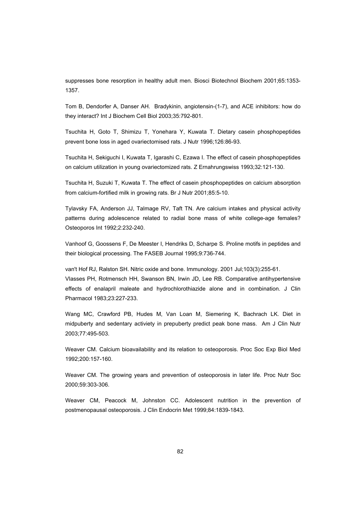suppresses bone resorption in healthy adult men. Biosci Biotechnol Biochem 2001;65:1353- 1357.

Tom B, Dendorfer A, Danser AH. Bradykinin, angiotensin-(1-7), and ACE inhibitors: how do they interact? Int J Biochem Cell Biol 2003;35:792-801.

Tsuchita H, Goto T, Shimizu T, Yonehara Y, Kuwata T. Dietary casein phosphopeptides prevent bone loss in aged ovariectomised rats. J Nutr 1996;126:86-93.

Tsuchita H, Sekiguchi I, Kuwata T, Igarashi C, Ezawa I. The effect of casein phosphopeptides on calcium utilization in young ovariectomized rats. Z Ernahrungswiss 1993;32:121-130.

Tsuchita H, Suzuki T, Kuwata T. The effect of casein phosphopeptides on calcium absorption from calcium-fortified milk in growing rats. Br J Nutr 2001;85:5-10.

Tylavsky FA, Anderson JJ, Talmage RV, Taft TN. Are calcium intakes and physical activity patterns during adolescence related to radial bone mass of white college-age females? Osteoporos Int 1992;2:232-240.

Vanhoof G, Goossens F, De Meester I, Hendriks D, Scharpe S. Proline motifs in peptides and their biological processing. The FASEB Journal 1995;9:736-744.

van't Hof RJ, Ralston SH. Nitric oxide and bone. Immunology. 2001 Jul;103(3):255-61. Vlasses PH, Rotmensch HH, Swanson BN, Irwin JD, Lee RB. Comparative antihypertensive effects of enalapril maleate and hydrochlorothiazide alone and in combination. J Clin Pharmacol 1983;23:227-233.

Wang MC, Crawford PB, Hudes M, Van Loan M, Siemering K, Bachrach LK. Diet in midpuberty and sedentary activiety in prepuberty predict peak bone mass. Am J Clin Nutr 2003;77:495-503.

Weaver CM. Calcium bioavailability and its relation to osteoporosis. Proc Soc Exp Biol Med 1992;200:157-160.

Weaver CM. The growing years and prevention of osteoporosis in later life. Proc Nutr Soc 2000;59:303-306.

Weaver CM, Peacock M, Johnston CC. Adolescent nutrition in the prevention of postmenopausal osteoporosis. J Clin Endocrin Met 1999;84:1839-1843.

82